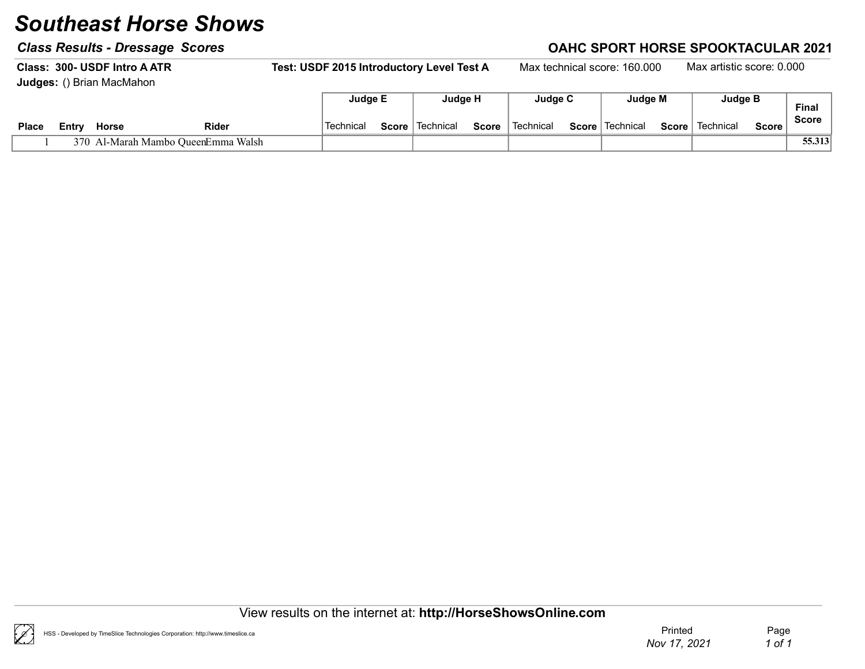### Class Results - Dressage Scores Class Results - Dressage Scores Class Results - Dressage Scores Class Results - D

Class: 300- USDF Intro A ATR Test: USDF 2015 Introductory Level Test A Max technical score: 160.000 Max artistic score: 0.000 Judges: () Brian MacMahon Judge E Judge H Judge C Judge M Judge B

|              |       |              |                                | Judge E    |              | Judge H                |              | Judge C   | Judge M           |       | Judge B   |        | Final        |
|--------------|-------|--------------|--------------------------------|------------|--------------|------------------------|--------------|-----------|-------------------|-------|-----------|--------|--------------|
| <b>Place</b> | Entrv | <b>Horse</b> | Rider                          | `Technicaï | $Score \mid$ | <sup>∖</sup> Technical | <b>Score</b> | Technical | Score   Technical | Score | Technical | Score, | <b>Score</b> |
|              | 370 F |              | Al-Marah Mambo OueenEmma Walsh |            |              |                        |              |           |                   |       |           |        | 55.313       |

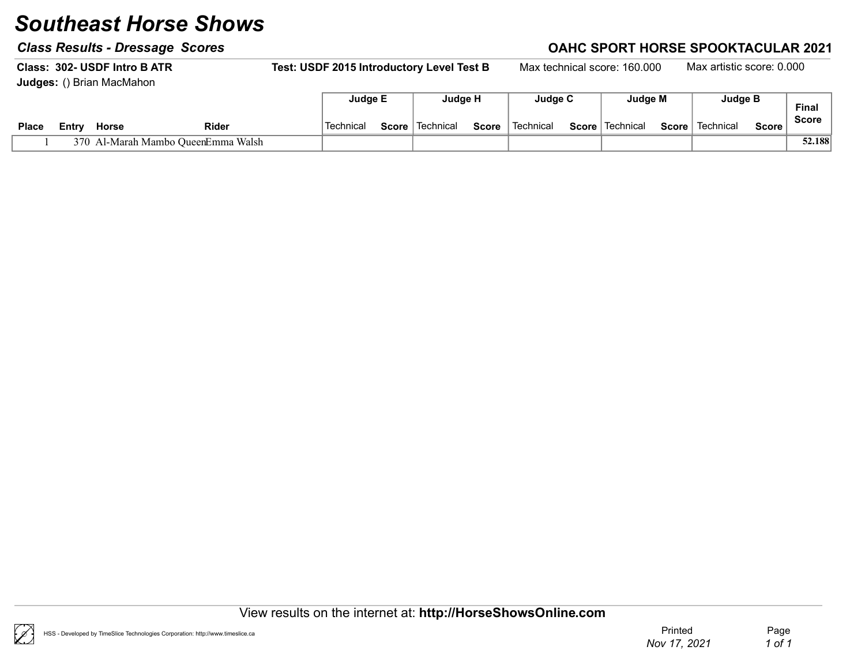### Class Results - Dressage Scores Class Results - Dressage Scores Class Results - Dressage Scores Class Results - D

Class: 302- USDF Intro BATR Test: USDF 2015 Introductory Level Test B Max technical score: 160.000 Max artistic score: 0.000 Judges: () Brian MacMahon  $\Box$ Judge E Judge H Judge C Judge M Judge B

|              |        |       |                                | Judge E  |       | <b>Judge</b> H |              | Judde C   | Judge M                  |       | Juuge D   |              | Finai        |
|--------------|--------|-------|--------------------------------|----------|-------|----------------|--------------|-----------|--------------------------|-------|-----------|--------------|--------------|
| <b>Place</b> | ∠⊂ntrv | Horse | Rider                          | Technica | Score | Technical      | <b>Score</b> | Technical | <b>Score</b>   Technical | Score | Technical | <b>Score</b> | <b>Score</b> |
|              | 370.   |       | Al-Marah Mambo OueenEmma Walsh |          |       |                |              |           |                          |       |           |              | 52.188       |

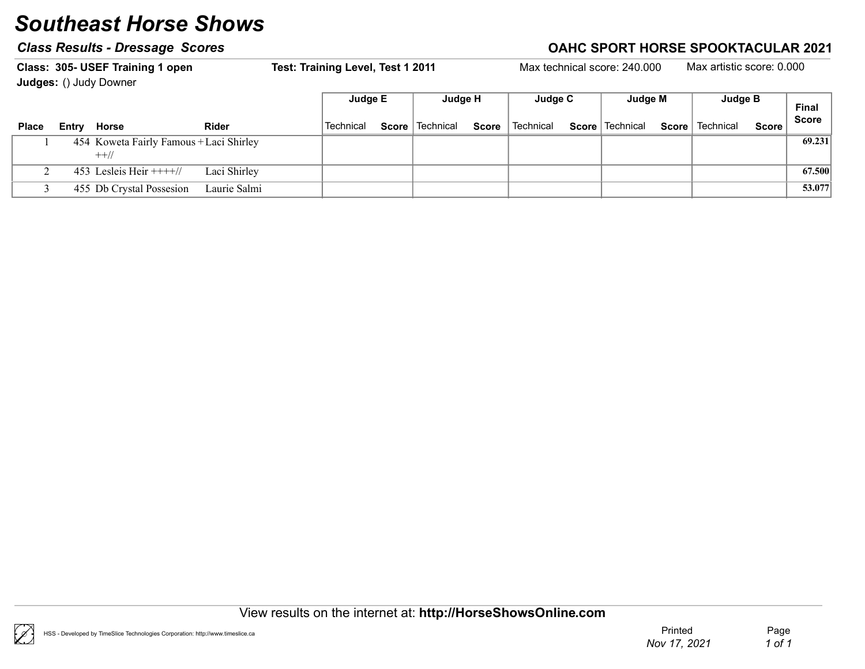|              | Class: 305- USEF Training 1 open<br><b>Judges: () Judy Downer</b> |              | Test: Training Level, Test 1 2011 |       |           |              |           | Max technical score: 240,000 |              | Max artistic score: 0.000 |              |              |
|--------------|-------------------------------------------------------------------|--------------|-----------------------------------|-------|-----------|--------------|-----------|------------------------------|--------------|---------------------------|--------------|--------------|
|              |                                                                   |              | Judge E                           |       | Judge H   |              | Judge C   | Judge M                      |              | Judge B                   |              | <b>Final</b> |
| <b>Place</b> | Entry Horse                                                       | <b>Rider</b> | Technical                         | Score | Technical | <b>Score</b> | Technical | <b>Score</b>   Technical     | <b>Score</b> | Technical                 | <b>Score</b> | <b>Score</b> |
|              | 454 Koweta Fairly Famous + Laci Shirley<br>$++$ //                |              |                                   |       |           |              |           |                              |              |                           |              | 69.231       |
|              | 453 Lesleis Heir $+++/$                                           | Laci Shirley |                                   |       |           |              |           |                              |              |                           |              | 67.500       |
|              | 455 Db Crystal Possesion                                          | Laurie Salmi |                                   |       |           |              |           |                              |              |                           |              | 53.077       |

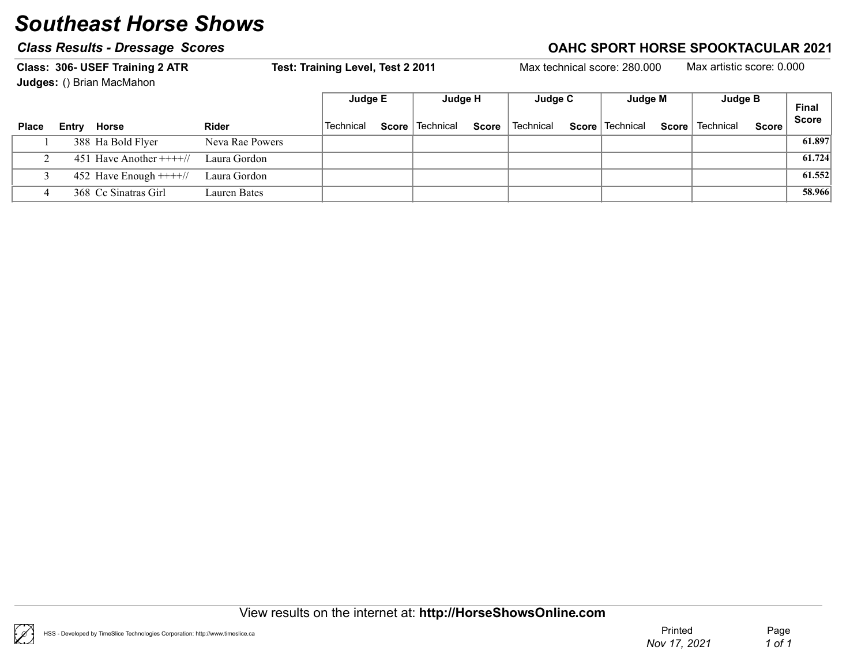### Class Results - Dressage Scores Class According to the Class Results - Dressage Scores Class According to the C

Class: 306- USEF Training 2 ATR Test: Training Level, Test 2 2011 Max technical score: 280.000 Max artistic score: 0.000

Judges: () Brian MacMahon

|              |                         |                 | Judge E   | Judge H                  | Judge C                  | Judge M                                       | Judge B |       | <b>Final</b> |
|--------------|-------------------------|-----------------|-----------|--------------------------|--------------------------|-----------------------------------------------|---------|-------|--------------|
| <b>Place</b> | Entry Horse             | <b>Rider</b>    | Technical | <b>Score</b>   Technical | <b>Score</b>   Technical | <b>Score</b> Technical <b>Score</b> Technical |         | Score | <b>Score</b> |
|              | 388 Ha Bold Flyer       | Neva Rae Powers |           |                          |                          |                                               |         |       | 61.897       |
|              | 451 Have Another $+++/$ | Laura Gordon    |           |                          |                          |                                               |         |       | 61.724       |
|              | 452 Have Enough $+++/$  | Laura Gordon    |           |                          |                          |                                               |         |       | 61.552       |
|              | 368 Cc Sinatras Girl    | Lauren Bates    |           |                          |                          |                                               |         |       | 58.966       |

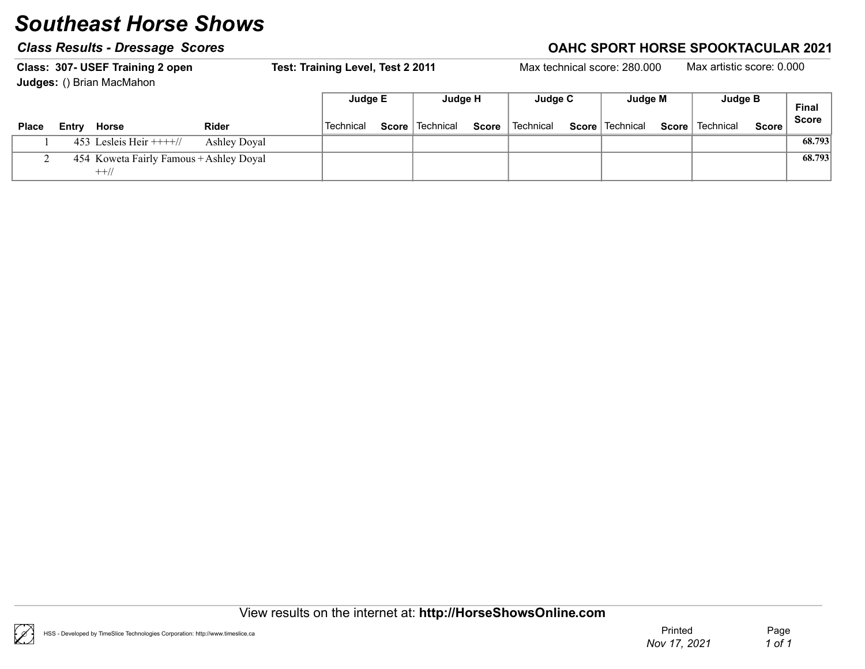|              |       | Class: 307- USEF Training 2 open<br>Judges: () Brian MacMahon |              | Test: Training Level, Test 2 2011 |              |           |              |           | Max technical score: 280.000 |       | Max artistic score: 0.000 |              |                              |
|--------------|-------|---------------------------------------------------------------|--------------|-----------------------------------|--------------|-----------|--------------|-----------|------------------------------|-------|---------------------------|--------------|------------------------------|
|              |       |                                                               |              | Judge E                           |              | Judge H   |              | Judge C   | Judge M                      |       | Judge B                   |              | <b>Final</b><br><b>Score</b> |
| <b>Place</b> | Entrv | Horse                                                         | <b>Rider</b> | Technical                         | <b>Score</b> | Technical | <b>Score</b> | Technical | Score   Technical            | Score | Technical                 | <b>Score</b> |                              |
|              |       | 453 Lesleis Heir $+++/$                                       | Ashley Doyal |                                   |              |           |              |           |                              |       |                           |              | 68.793                       |
|              |       | 454 Koweta Fairly Famous + Ashley Doyal<br>$++//$             |              |                                   |              |           |              |           |                              |       |                           |              | 68.793                       |

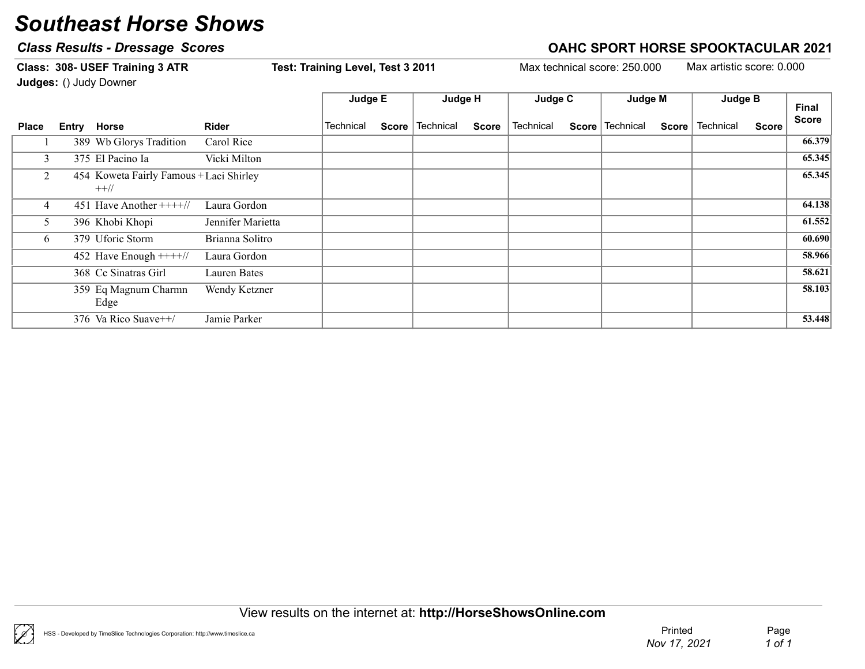### Class Results - Dressage Scores Correction Class According to AHC SPORT HORSE SPOOKTACULAR 2021

Judges: () Judy Downer Final Score Judge E Judge H Judge C Judge M Judge B Place Entry Horse  $\blacksquare$  Rider  $\blacksquare$  Technical Score Technical Score Technical Score Technical Score Technical Score Score 1 389 Wb Glorys Tradition Carol Rice 86.379 3 375 El Pacino Ia internacionale de Vicki Milton en la contra de la contrada de la contrada de la contrada de 2 454 Koweta Fairly Famous + Laci Shirley 65.345 ++// 4 451 Have Another ++++// Laura Gordon 1 64.138 5 396 Khobi Khopi Jennifer Marietta (1952) 6 379 Uforic Storm Brianna Solitro and Solitro Contract of the Store of the Store of the Store of the Store of the Store of the Store of the Store of the Store of the Store of the Store of the Store of the Store of the Sto 452 Have Enough ++++// Laura Gordon (and the state of the state of the state of the state of the state of the state of the state of the state of the state of the state of the state of the state of the state of the state of 368 Cc Sinatras Girl Lauren Bates 58.621 1999 Bq Magnum Charmn Wendy Ketzner 1988.103 Edge 376 Va Rico Suave++/ Jamie Parker 53.448

Class: 308- USEF Training 3 ATR Test: Training Level, Test 3 2011 Max technical score: 250.000 Max artistic score: 0.000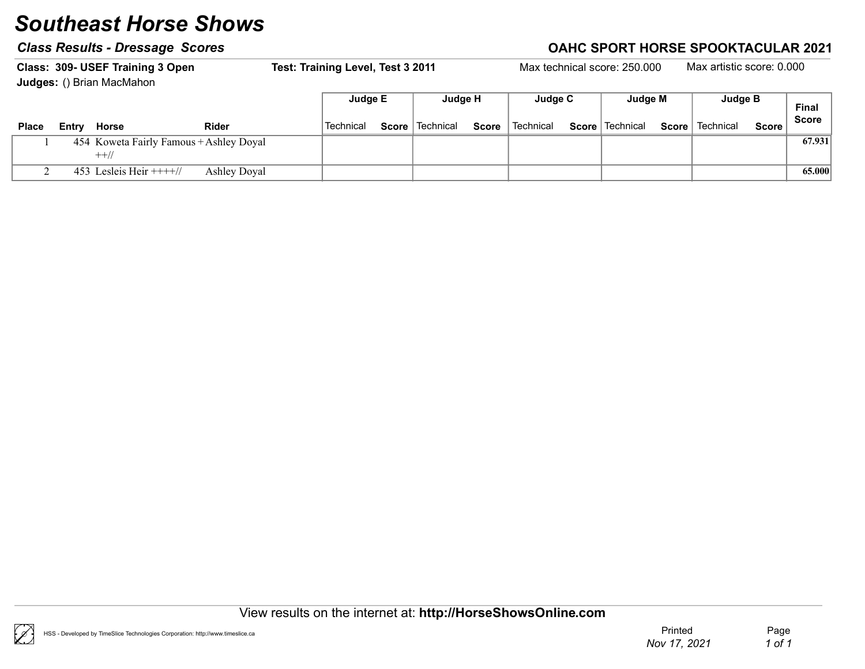|              |       | Class: 309- USEF Training 3 Open<br>Judges: () Brian MacMahon |                     | Test: Training Level, Test 3 2011 |              |             |       |           | Max technical score: 250,000 |       | Max artistic score: 0.000 |              |                              |
|--------------|-------|---------------------------------------------------------------|---------------------|-----------------------------------|--------------|-------------|-------|-----------|------------------------------|-------|---------------------------|--------------|------------------------------|
|              |       |                                                               |                     | Judge E                           |              | Judge H     |       | Judge C   | Judge M                      |       | Judge B                   |              | <b>Final</b><br><b>Score</b> |
| <b>Place</b> | Entry | Horse                                                         | Rider               | <b>Technical</b>                  | <b>Score</b> | ∣ Technical | Score | Technical | Score   Technical            | Score | Technical                 | <b>Score</b> |                              |
|              |       | 454 Koweta Fairly Famous + Ashley Doyal<br>$++$ //            |                     |                                   |              |             |       |           |                              |       |                           |              | 67.931                       |
|              |       | 453 Lesleis Heir $+++/$                                       | <b>Ashley Doyal</b> |                                   |              |             |       |           |                              |       |                           |              | 65.000                       |



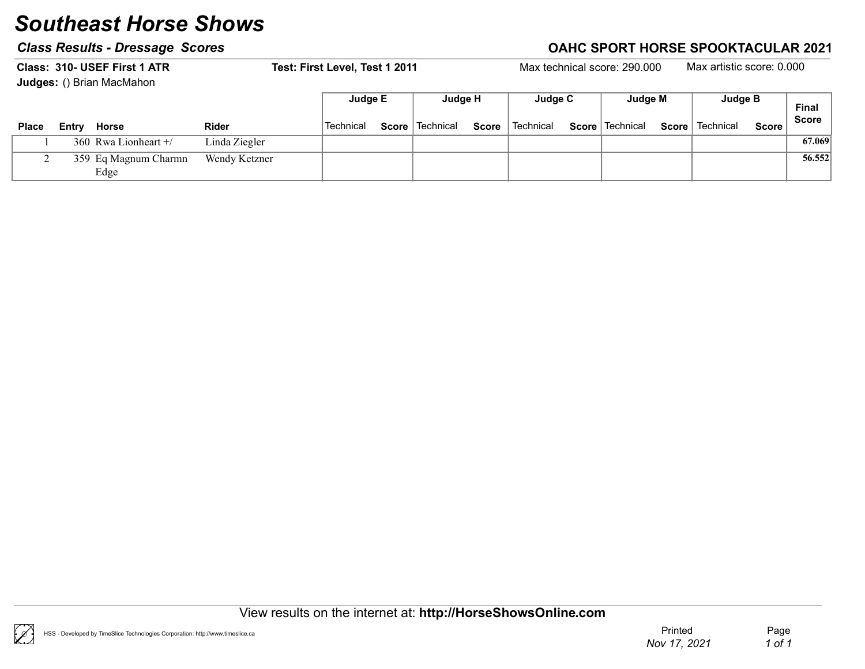|              |       | Class: 310- USEF First 1 ATR<br>Judges: () Brian MacMahon |               | Test: First Level, Test 1 2011 |       |             |              |           | Max technical score: 290,000 |              | Max artistic score: 0.000 |              |              |
|--------------|-------|-----------------------------------------------------------|---------------|--------------------------------|-------|-------------|--------------|-----------|------------------------------|--------------|---------------------------|--------------|--------------|
|              |       |                                                           |               | Judge E                        |       | Judge H     |              | Judge C   | Judge M                      |              | Judge B                   |              | <b>Final</b> |
| <b>Place</b> | Entrv | Horse                                                     | <b>Rider</b>  | <b>Technical</b>               | Score | ∣ Technical | <b>Score</b> | Technical | Score   Technical            | <b>Score</b> | Technical                 | <b>Score</b> | <b>Score</b> |
|              |       | 360 Rwa Lionheart $+/$                                    | Linda Ziegler |                                |       |             |              |           |                              |              |                           |              | 67.069       |
|              |       | 359 Eq Magnum Charmn<br>Edge                              | Wendy Ketzner |                                |       |             |              |           |                              |              |                           |              | 56.552       |



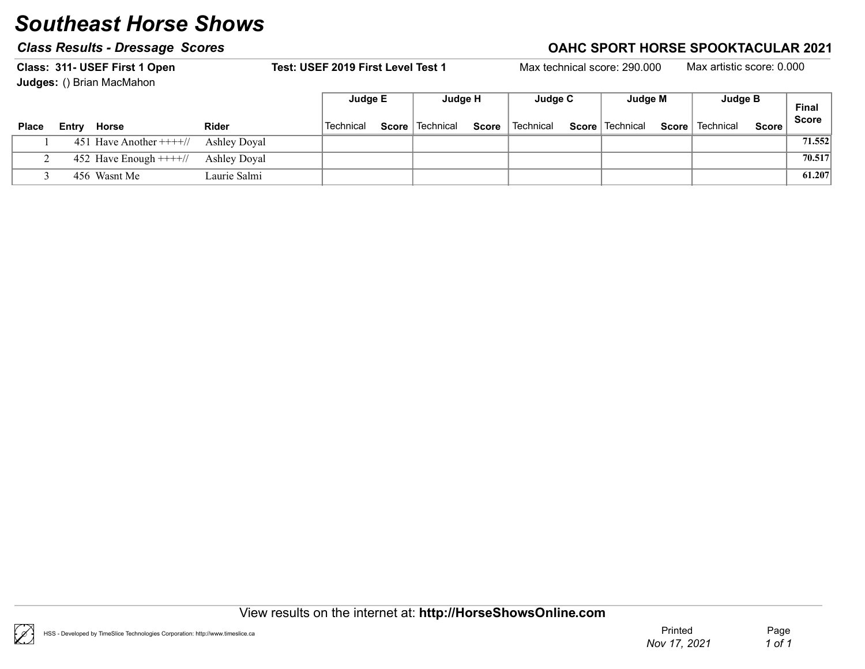### Class Results - Dressage Scores Class According to the Class Results - Dressage Scores Class According to the C

Class: 311- USEF First 1 Open Test: USEF 2019 First Level Test 1 Max technical score: 290.000 Max artistic score: 0.000 Judges: () Brian MacMahon

|              | <b>Cauges:</b> ( <i>f</i> Drian MacMation |              |                  |                   |              |           |                   |       |           |              |                              |
|--------------|-------------------------------------------|--------------|------------------|-------------------|--------------|-----------|-------------------|-------|-----------|--------------|------------------------------|
|              |                                           |              | Judge E          | Judge H           |              | Judge C   | Judge M           |       | Judge B   |              | <b>Final</b><br><b>Score</b> |
| <b>Place</b> | Horse<br>Entry                            | <b>Rider</b> | <b>Technical</b> | Score   Technical | <b>Score</b> | Technical | Score   Technical | Score | Technical | <b>Score</b> |                              |
|              | 451 Have Another $+++/$                   | Ashley Doyal |                  |                   |              |           |                   |       |           |              | 71.552                       |
|              | 452 Have Enough $+++/$                    | Ashley Doyal |                  |                   |              |           |                   |       |           |              | 70.517                       |
|              | 456 Wasnt Me                              | Laurie Salmi |                  |                   |              |           |                   |       |           |              | 61.207                       |



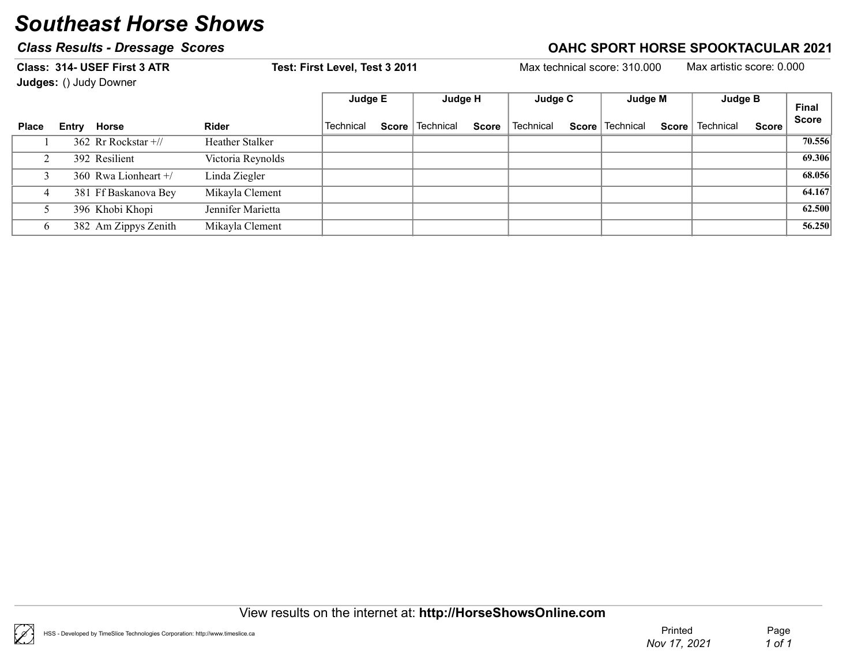### Class Results - Dressage Scores Class Results - Dressage Scores Class Results - Dressage Scores Class Results - D

Class: 314- USEF First 3 ATR Test: First Level, Test 3 2011 Max technical score: 310.000 Max artistic score: 0.000 Judges: () Judy Downer

|              | <b>Judges:</b> () Judy Downer |                   |           |       |           |              |           |                   |              |           |              |              |
|--------------|-------------------------------|-------------------|-----------|-------|-----------|--------------|-----------|-------------------|--------------|-----------|--------------|--------------|
|              |                               |                   | Judge E   |       | Judge H   |              | Judge C   | Judge M           |              | Judge B   |              | Final        |
| <b>Place</b> | Entry Horse                   | <b>Rider</b>      | Technical | Score | Technical | <b>Score</b> | Technical | Score   Technical | <b>Score</b> | Technical | <b>Score</b> | <b>Score</b> |
|              | 362 Rr Rockstar +//           | Heather Stalker   |           |       |           |              |           |                   |              |           |              | 70.556       |
|              | 392 Resilient                 | Victoria Reynolds |           |       |           |              |           |                   |              |           |              | 69.306       |
|              | 360 Rwa Lionheart +/          | Linda Ziegler     |           |       |           |              |           |                   |              |           |              | 68.056       |
| 4            | 381 Ff Baskanova Bey          | Mikayla Clement   |           |       |           |              |           |                   |              |           |              | 64.167       |
|              | 396 Khobi Khopi               | Jennifer Marietta |           |       |           |              |           |                   |              |           |              | 62.500       |
|              | 382 Am Zippys Zenith          | Mikayla Clement   |           |       |           |              |           |                   |              |           |              | 56.250       |

View results on the internet at: http://HorseShowsOnline.com

 $\mathscr{C}$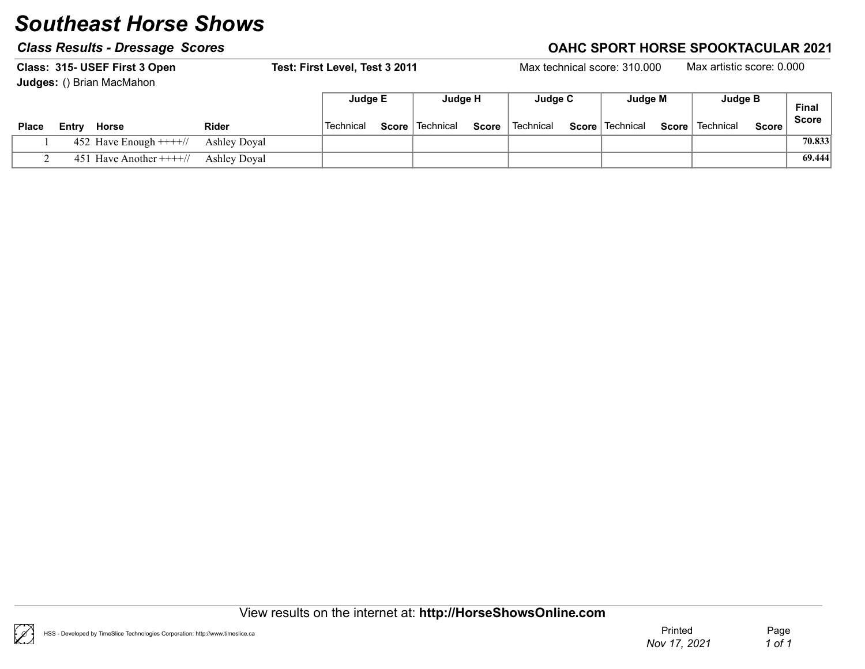|              |       | Class: 315- USEF First 3 Open<br>Judges: () Brian MacMahon |                     | Test: First Level, Test 3 2011 |                            |       |                      | Max technical score: 310.000 |              | Max artistic score: 0.000 |       |                              |
|--------------|-------|------------------------------------------------------------|---------------------|--------------------------------|----------------------------|-------|----------------------|------------------------------|--------------|---------------------------|-------|------------------------------|
| <b>Place</b> | Entry | Horse                                                      | <b>Rider</b>        | Judge E<br>Technical           | Judge H<br>Score Technical | Score | Judge C<br>Technical | Judge M<br>Score   Technical | <b>Score</b> | Judge B<br>Technical      | Score | <b>Final</b><br><b>Score</b> |
|              |       | 452 Have Enough $+++/$                                     | <b>Ashley Doval</b> |                                |                            |       |                      |                              |              |                           |       | 70.833                       |
|              |       | 451 Have Another $+++/$                                    | Ashley Doyal        |                                |                            |       |                      |                              |              |                           |       | 69.444                       |

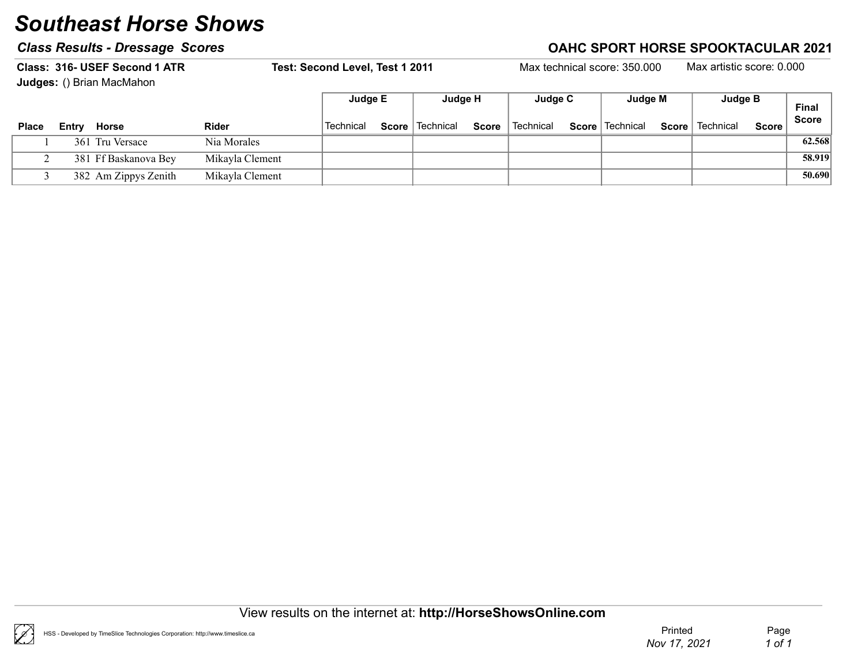### Class Results - Dressage Scores Class According to the Class Results - Dressage Scores Class According to the C

Class: 316- USEF Second 1 ATR Test: Second Level, Test 1 2011 Max technical score: 350.000 Max artistic score: 0.000

Judges: () Brian MacMahon

|              |       |                      |                 | Judge E          | Judge H                  |              | Judge C     | Judge M           |       | Judge B   |              | <b>Final</b> |
|--------------|-------|----------------------|-----------------|------------------|--------------------------|--------------|-------------|-------------------|-------|-----------|--------------|--------------|
| <b>Place</b> | Entry | Horse                | <b>Rider</b>    | <b>Technical</b> | <b>Score</b>   Technical | <b>Score</b> | l Technical | Score   Technical | Score | Technical | <b>Score</b> | Score        |
|              |       | 361 Tru Versace      | Nia Morales     |                  |                          |              |             |                   |       |           |              | 62.568       |
|              |       | 381 Ff Baskanova Bey | Mikayla Clement |                  |                          |              |             |                   |       |           |              | 58.919       |
|              |       | 382 Am Zippys Zenith | Mikayla Clement |                  |                          |              |             |                   |       |           |              | 50.690       |

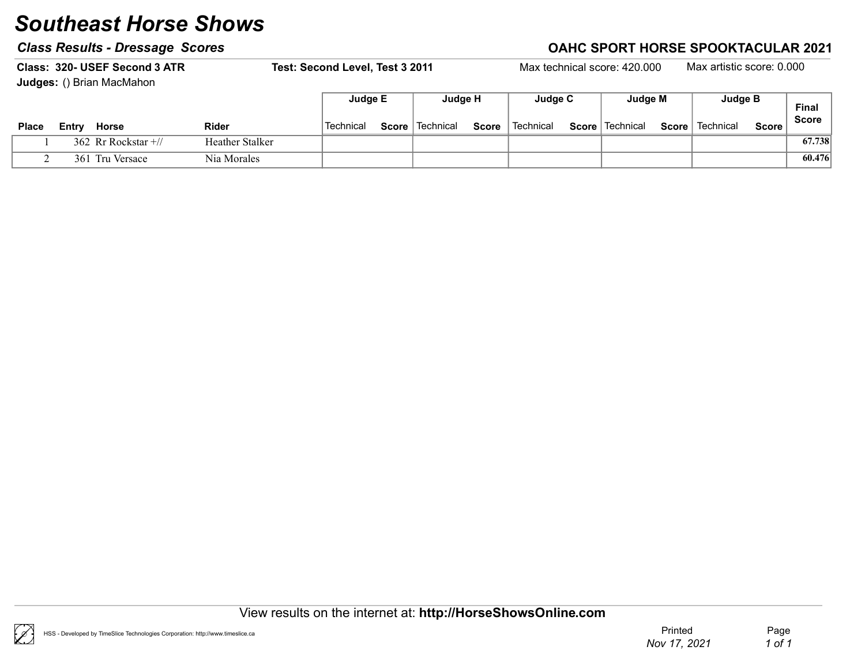### Class Results - Dressage Scores Class According to the Class Results - Dressage Scores Class According to the C

Class: 320- USEF Second 3 ATR Test: Second Level, Test 3 2011 Max technical score: 420.000 Max artistic score: 0.000 Judges: () Brian MacMahon Final Score Judge E Judge H Judge C Judge M Judge B Place Entry Horse  $\blacksquare$  Rider  $\blacksquare$  Technical Score Technical Score Technical Score Technical Score Technical Score Score 1 362 Rr Rockstar +// Heather Stalker Rr Rockstar +// 67.738 2 361 Tru Versace Nia Morales Nia Morales (60.476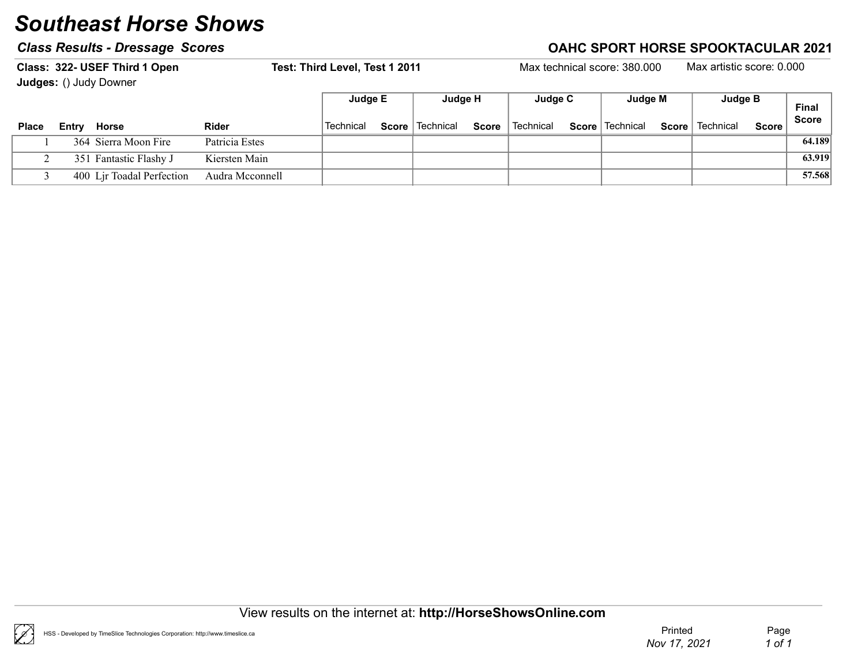|              |       | Class: 322- USEF Third 1 Open<br><b>Judges: () Judy Downer</b> |                 | Test: Third Level, Test 1 2011 |                          |       |           | Max technical score: 380,000 |       | Max artistic score: 0.000 |              |                              |
|--------------|-------|----------------------------------------------------------------|-----------------|--------------------------------|--------------------------|-------|-----------|------------------------------|-------|---------------------------|--------------|------------------------------|
|              |       |                                                                |                 | Judge E                        | Judge H                  |       | Judge C   | Judge M                      |       | Judge B                   |              | <b>Final</b><br><b>Score</b> |
| <b>Place</b> | Entrv | Horse                                                          | <b>Rider</b>    | Technical                      | <b>Score</b>   Technical | Score | Technical | Score   Technical            | Score | Technical                 | <b>Score</b> |                              |
|              |       | 364 Sierra Moon Fire                                           | Patricia Estes  |                                |                          |       |           |                              |       |                           |              | 64.189                       |
|              |       | 351 Fantastic Flashy J                                         | Kiersten Main   |                                |                          |       |           |                              |       |                           |              | 63.919                       |
|              |       | 400 Lir Toadal Perfection                                      | Audra Mcconnell |                                |                          |       |           |                              |       |                           |              | 57.568                       |

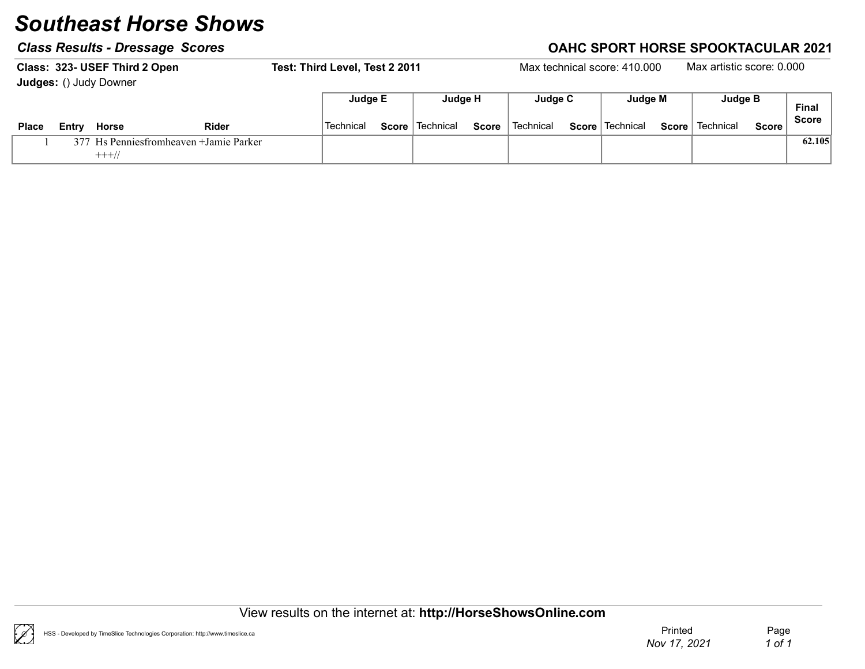|       |       | Class: 323- USEF Third 2 Open<br><b>Judges: () Judy Downer</b> |              | Test: Third Level, Test 2 2011 |              |           |       |           | Max technical score: 410,000 |              | Max artistic score: 0.000 |         |                              |
|-------|-------|----------------------------------------------------------------|--------------|--------------------------------|--------------|-----------|-------|-----------|------------------------------|--------------|---------------------------|---------|------------------------------|
|       |       |                                                                |              | Judge E                        |              | Judge H   |       | Judge C   | Judge M                      |              | Judge B                   |         | <b>Final</b><br><b>Score</b> |
| Place | Entrv | Horse                                                          | <b>Rider</b> | Technical                      | <b>Score</b> | Technical | Score | Technical | <b>Score</b>   Technical     | <b>Score</b> | Technical                 | Score i |                              |
|       |       | 377 Hs Penniesfromheaven + Jamie Parker<br>$+++//$             |              |                                |              |           |       |           |                              |              |                           |         | 62.105                       |

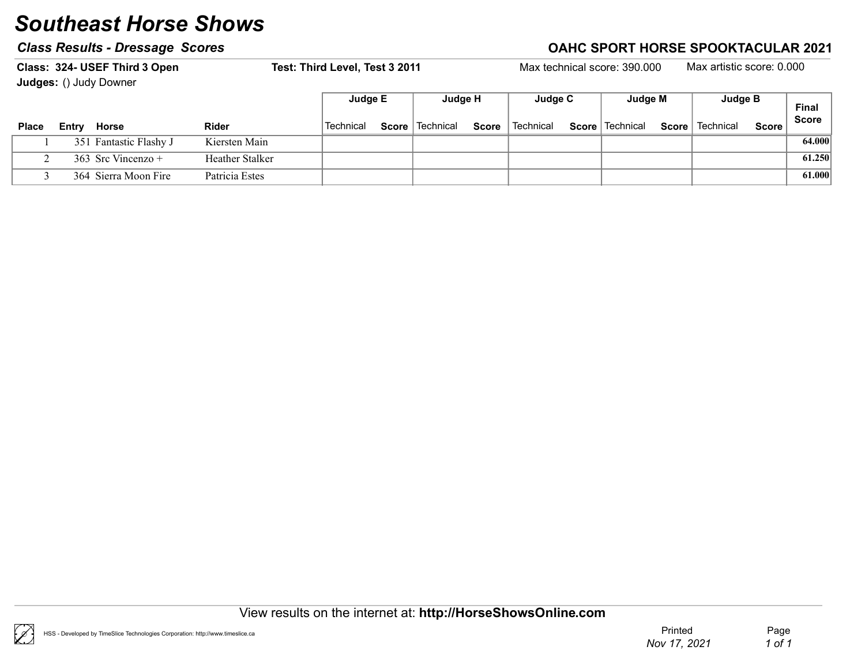|              |       | Class: 324- USEF Third 3 Open<br><b>Judges: () Judy Downer</b> |                 | Test: Third Level, Test 3 2011 |       |             |       |           | Max technical score: 390,000 |              | Max artistic score: 0.000 |              |              |
|--------------|-------|----------------------------------------------------------------|-----------------|--------------------------------|-------|-------------|-------|-----------|------------------------------|--------------|---------------------------|--------------|--------------|
|              |       |                                                                |                 | Judge E                        |       | Judge H     |       | Judge C   | Judge M                      |              | Judge B                   |              | <b>Final</b> |
| <b>Place</b> | Entrv | Horse                                                          | <b>Rider</b>    | Technical                      | Score | ∣ Technical | Score | Technical | Score   Technical            | <b>Score</b> | Technical                 | <b>Score</b> | <b>Score</b> |
|              |       | 351 Fantastic Flashy J                                         | Kiersten Main   |                                |       |             |       |           |                              |              |                           |              | 64.000       |
|              |       | 363 Src Vincenzo +                                             | Heather Stalker |                                |       |             |       |           |                              |              |                           |              | 61.250       |
|              |       | 364 Sierra Moon Fire                                           | Patricia Estes  |                                |       |             |       |           |                              |              |                           |              | 61.000       |



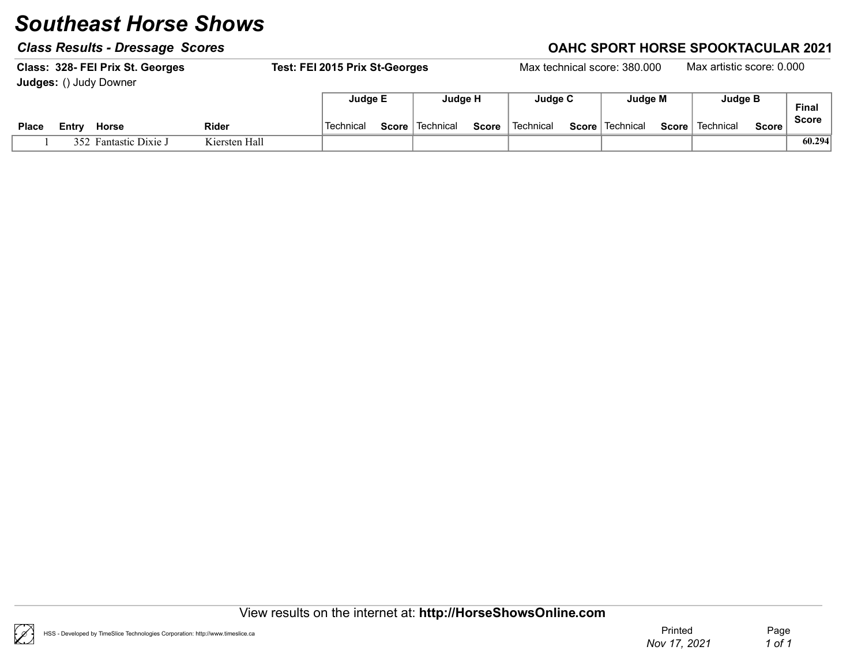### Class Results - Dressage Scores Class Results - Dressage Scores Class Results - Dressage Scores Class Results -

|              |       | Class: 328- FEI Prix St. Georges |               | Test: FEI 2015 Prix St-Georges |              |             |              |           |              | Max technical score: 380,000 |              | Max artistic score: 0.000 |              |              |
|--------------|-------|----------------------------------|---------------|--------------------------------|--------------|-------------|--------------|-----------|--------------|------------------------------|--------------|---------------------------|--------------|--------------|
|              |       | <b>Judges: () Judy Downer</b>    |               |                                |              |             |              |           |              |                              |              |                           |              |              |
|              |       |                                  |               | Judge E                        |              | Judae H     |              | Judge C   |              | Judge M                      |              | Judge B                   |              | <b>Final</b> |
| <b>Place</b> | Entry | <b>Horse</b>                     | <b>Rider</b>  | Technical                      | $Score \mid$ | l Technical | <b>Score</b> | Technical | $Score \mid$ | ∣ Technical                  | <b>Score</b> | Technical                 | <b>Score</b> | <b>Score</b> |
|              |       | 352 Fantastic Dixie J            | Kiersten Hall |                                |              |             |              |           |              |                              |              |                           |              | 60.294       |

View results on the internet at: http://HorseShowsOnline.com

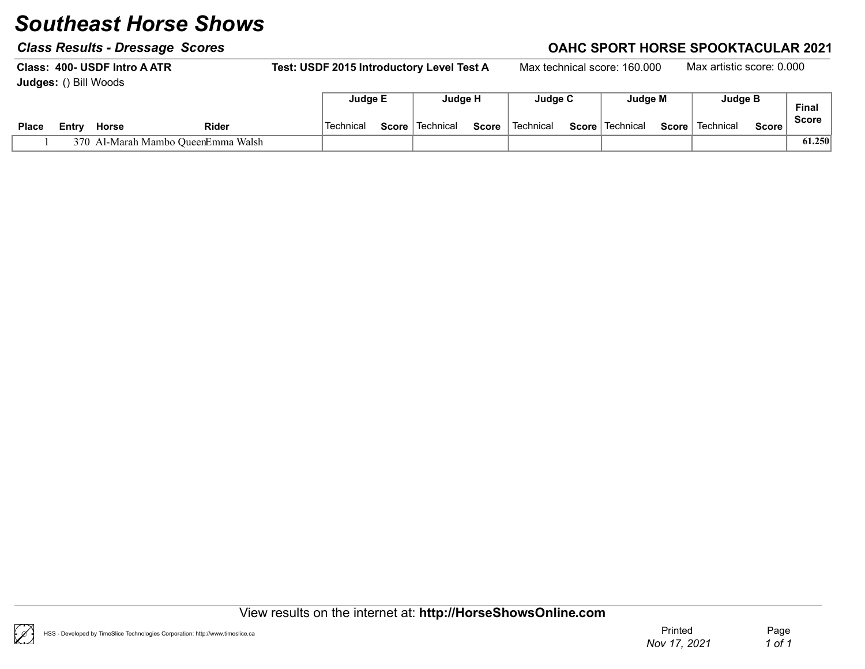### Class Results - Dressage Scores Class According to the Class Results - Dressage Scores Class According to the C

Class: 400- USDF Intro A ATR Test: USDF 2015 Introductory Level Test A Max technical score: 160.000 Max artistic score: 0.000 Judges: () Bill Woods Final Judge E Judge H Judge C Judge M Judge B

| Place | ∟cntr~ | Horse                          | Rider | Technica | Score | Technical | Score | Technical | <b>Score</b> | Technical | Score | Technical | Score | . a.<br><b>Score</b> |
|-------|--------|--------------------------------|-------|----------|-------|-----------|-------|-----------|--------------|-----------|-------|-----------|-------|----------------------|
|       | 370    | Al-Marah Mambo QueenEmma Walsh |       |          |       |           |       |           |              |           |       |           |       | 61.250               |

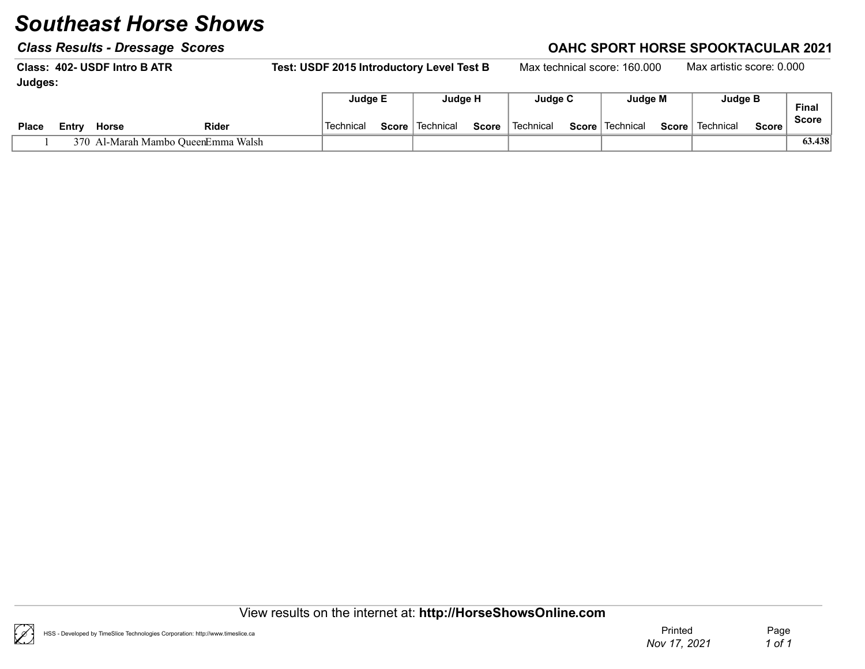### Class Results - Dressage Scores Class Results - Dressage Scores Class Results - Dressage Scores Class Results - D

Class: 402- USDF Intro BATR Test: USDF 2015 Introductory Level Test B Max technical score: 160.000 Max artistic score: 0.000 Judges: Final Judge E | Judge H | Judge C | Judge M | Judge B

| <b>Place</b> | ≞ntr | Horse                    | <b>Rider</b> | Technica | Score | Technical | Score | Technical | <b>Score</b> | Technical | Score | Technica | Score | Score  |
|--------------|------|--------------------------|--------------|----------|-------|-----------|-------|-----------|--------------|-----------|-------|----------|-------|--------|
|              |      | Mambo QueenEmma<br>⊿arah | Walsh        |          |       |           |       |           |              |           |       |          |       | 63.438 |

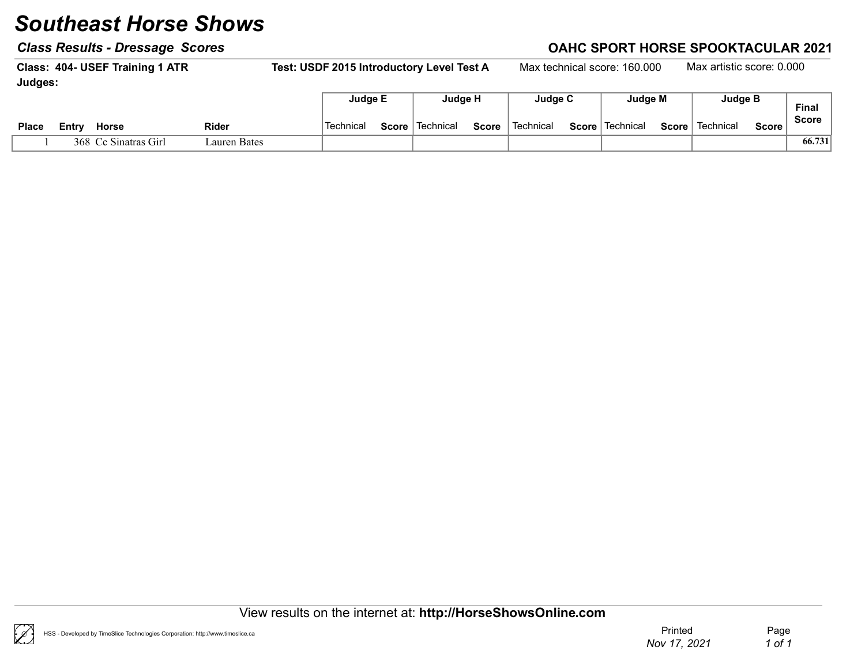### Class Results - Dressage Scores Class Results - Dressage Scores Class Results - Dressage Scores Class Results - D

Class: 404- USEF Training 1 ATR Test: USDF 2015 Introductory Level Test A Max technical score: 160.000 Max artistic score: 0.000 Judges: Final Judge E Judge H Judge C Judge M Judge B

| Place | Horse<br>∟∟⊏ntr          | <b>Rider</b> | Technical | Score | Technical | <b>Score</b> | Technical | <b>Score</b> | ˈTechnical | Score | Technical | Score, | <b>Final</b><br><b>Score</b> |
|-------|--------------------------|--------------|-----------|-------|-----------|--------------|-----------|--------------|------------|-------|-----------|--------|------------------------------|
|       | 368.<br>Ce Sinatras Girl | auren Bates  |           |       |           |              |           |              |            |       |           |        | 66.731                       |

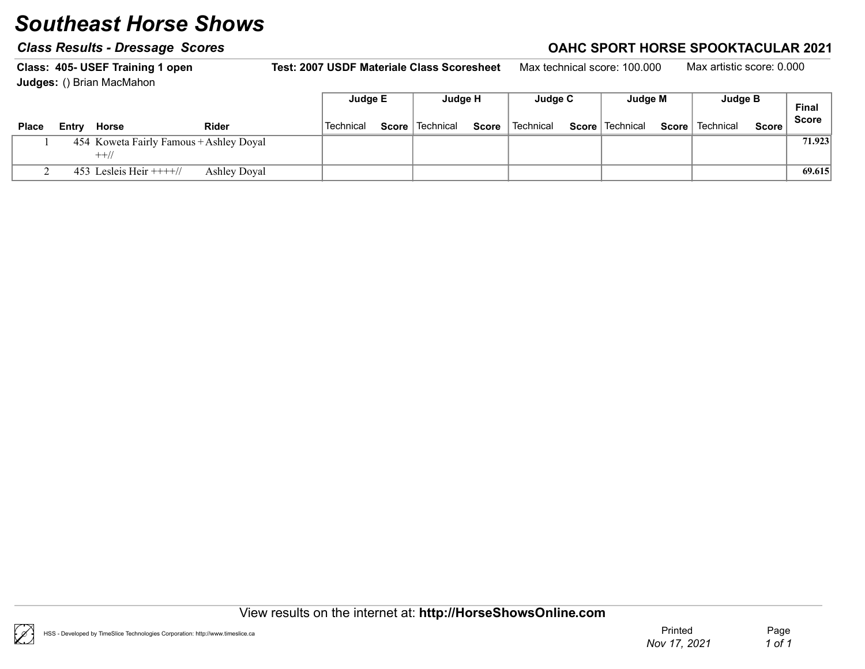### Class Results - Dressage Scores Class According to the Class Results - Dressage Scores Class According to the C

Class: 405- USEF Training 1 open Test: 2007 USDF Materiale Class Scoresheet Max technical score: 100.000 Max artistic score: 0.000 Judges: () Brian MacMahon  $\Box$ 

|              |       |                                         |              | Judge E   | <b>Judge H</b>    |              | Judge C   | Judge M           |       | <b>Judge B</b> |              | <b>Final</b> |
|--------------|-------|-----------------------------------------|--------------|-----------|-------------------|--------------|-----------|-------------------|-------|----------------|--------------|--------------|
| <b>Place</b> | Entry | Horse                                   | <b>Rider</b> | Technical | Score   Technical | <b>Score</b> | Technical | Score   Technical | Score | Technical      | <b>Score</b> | <b>Score</b> |
|              |       | 454 Koweta Fairly Famous + Ashley Doyal |              |           |                   |              |           |                   |       |                |              | 71.923       |
|              |       | $++/$                                   |              |           |                   |              |           |                   |       |                |              |              |
|              |       | 453 Lesleis Heir $+++/$                 | Ashley Doyal |           |                   |              |           |                   |       |                |              | 69.615       |



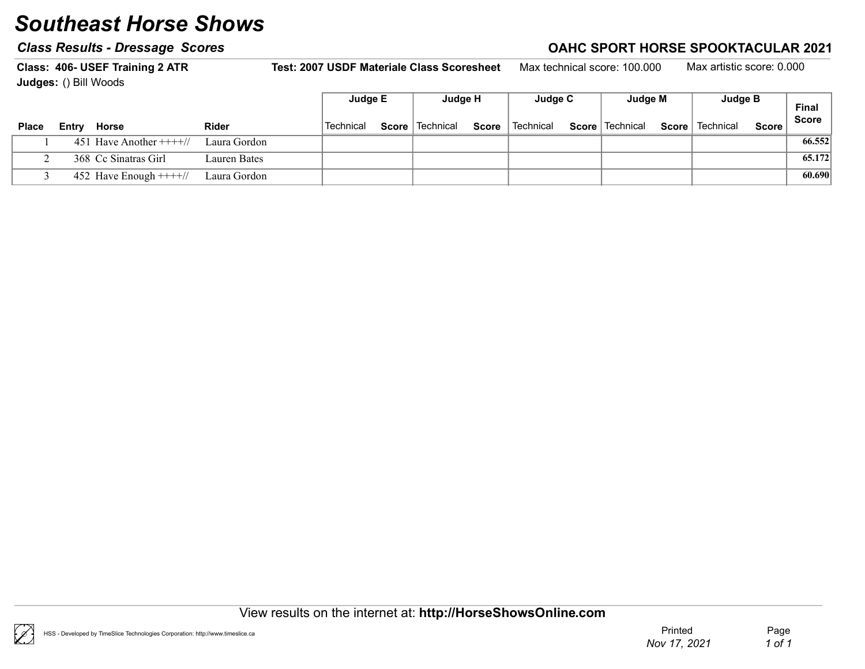### Class Results - Dressage Scores Class According to the Class Results - Dressage Scores Class According to the C

Class: 406- USEF Training 2 ATR Test: 2007 USDF Materiale Class Scoresheet Max technical score: 100.000 Max artistic score: 0.000 Judges: () Bill Woods Final Score Judge E Judge H Judge C Judge M Judge B Place Entry Horse  $\blacksquare$  Rider  $\blacksquare$  Technical Score Technical Score Technical Score Technical Score Technical Score Score

| <b>Place</b> | Entry | Horse                                 | <b>Rider</b> | Technical | <b>Score</b> Technical | Score | ∣ Technical | Score   Technical | Score   Technical | <b>Score</b> | - 999  |
|--------------|-------|---------------------------------------|--------------|-----------|------------------------|-------|-------------|-------------------|-------------------|--------------|--------|
|              |       | 451 Have Another $+++//$ Laura Gordon |              |           |                        |       |             |                   |                   |              | 66.552 |
|              |       | 368 Cc Sinatras Girl                  | Lauren Bates |           |                        |       |             |                   |                   |              | 65.172 |
|              |       | 452 Have Enough $+++/$                | Laura Gordon |           |                        |       |             |                   |                   |              | 60.690 |

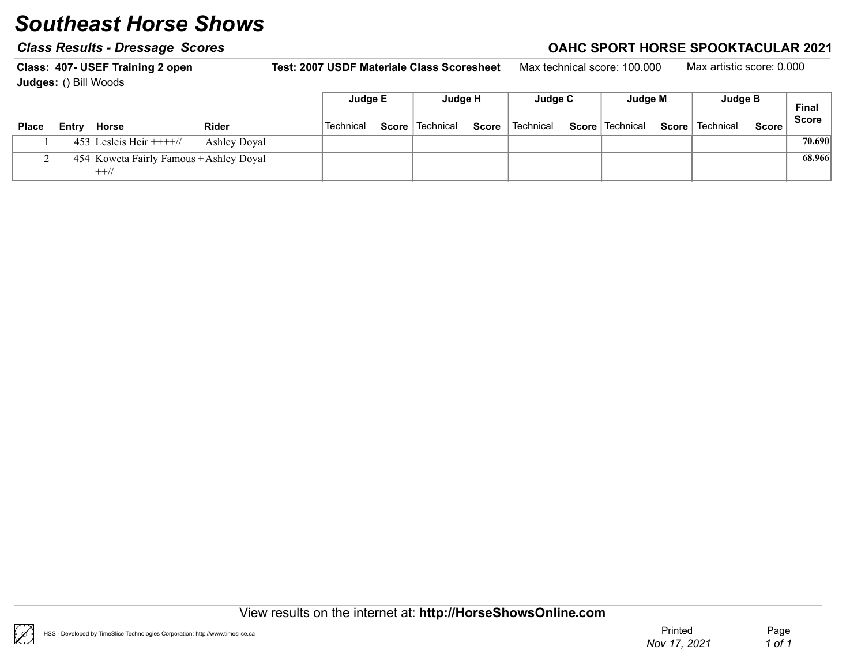### Class Results - Dressage Scores Class According to the Class Results - Dressage Scores Class According to the C

Class: 407- USEF Training 2 open Test: 2007 USDF Materiale Class Scoresheet Max technical score: 100.000 Max artistic score: 0.000 Judges: () Bill Woods  $\Box$ Judge E Judge H Judge C Judge M Judge B

|                                                                                                                                             | <b>Judge</b> M | Juuye D                   | <b>Final</b> |
|---------------------------------------------------------------------------------------------------------------------------------------------|----------------|---------------------------|--------------|
| Score   Technical<br>` Technical<br>Score   Technical<br><b>Technical</b><br><b>Score</b><br><b>Rider</b><br><b>Place</b><br>Horse<br>Entrv | Score          | Technical<br><b>Score</b> | Score        |
| 453 Lesleis Heir $+++/$<br><b>Ashley Doval</b>                                                                                              |                |                           | 70.690       |
| 454 Koweta Fairly Famous + Ashley Doyal<br>$++//$                                                                                           |                |                           | 68.966       |

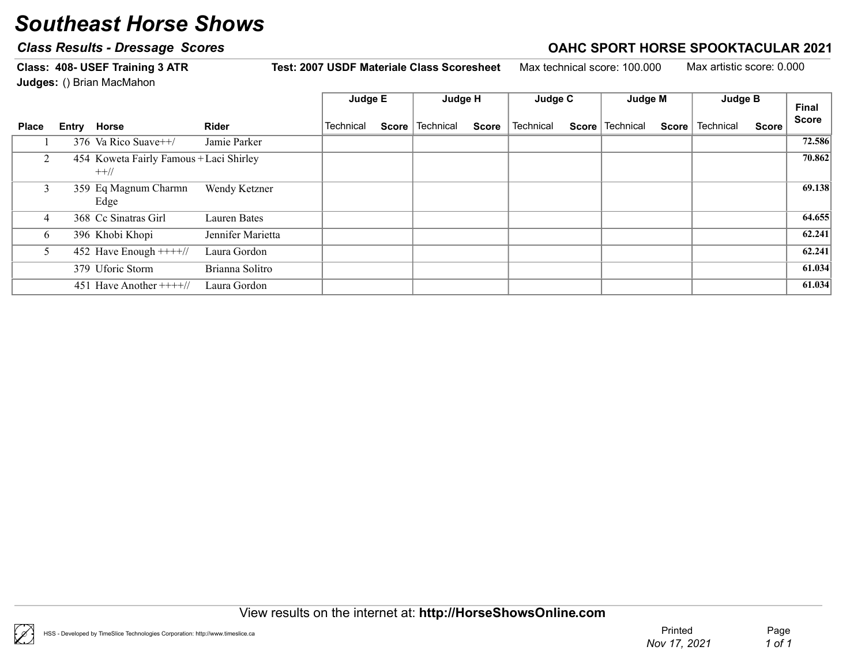### Class Results - Dressage Scores Class According to the Class Results - Dressage Scores Class According to the C

Class: 408- USEF Training 3 ATR Test: 2007 USDF Materiale Class Scoresheet Max technical score: 100.000 Max artistic score: 0.000 Judges: () Brian MacMahon  $\Box$ Judge E Judge H Judge C Judge M Judge B

|              |                                                   |                   | Juage ⊏   | Juage H                  |              | <b>Judde A</b> | <b>Judge</b> M    |              | Juage B   |              | Final        |
|--------------|---------------------------------------------------|-------------------|-----------|--------------------------|--------------|----------------|-------------------|--------------|-----------|--------------|--------------|
| <b>Place</b> | Entry Horse                                       | <b>Rider</b>      | Technical | <b>Score</b>   Technical | <b>Score</b> | Technical      | Score   Technical | <b>Score</b> | Technical | <b>Score</b> | <b>Score</b> |
|              | 376 Va Rico Suave $++/$                           | Jamie Parker      |           |                          |              |                |                   |              |           |              | 72.586       |
| 2            | 454 Koweta Fairly Famous + Laci Shirley<br>$++//$ |                   |           |                          |              |                |                   |              |           |              | 70.862       |
|              | 359 Eq Magnum Charmn<br>Edge                      | Wendy Ketzner     |           |                          |              |                |                   |              |           |              | 69.138       |
| 4            | 368 Cc Sinatras Girl                              | Lauren Bates      |           |                          |              |                |                   |              |           |              | 64.655       |
| 6            | 396 Khobi Khopi                                   | Jennifer Marietta |           |                          |              |                |                   |              |           |              | 62.241       |
|              | 452 Have Enough $+++/$                            | Laura Gordon      |           |                          |              |                |                   |              |           |              | 62.241       |
|              | 379 Uforic Storm                                  | Brianna Solitro   |           |                          |              |                |                   |              |           |              | 61.034       |
|              | 451 Have Another $+++/$                           | Laura Gordon      |           |                          |              |                |                   |              |           |              | 61.034       |

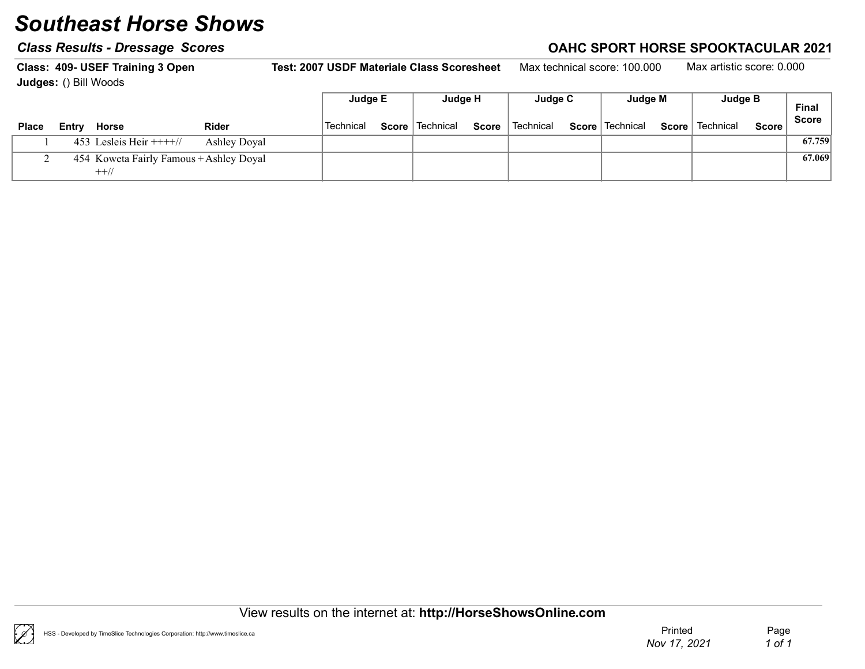### Class Results - Dressage Scores Class According to the Class Results - Dressage Scores Class According to the C

Class: 409- USEF Training 3 Open Test: 2007 USDF Materiale Class Scoresheet Max technical score: 100.000 Max artistic score: 0.000 Judges: () Bill Woods  $\Box$ Judge E Judge H Judge C Judge M Judge B

|              |                                         |                     | Juage E   | Juage H           |              | Juage C     | <b>Judde M</b>    |       | Juage B   |              | Final        |
|--------------|-----------------------------------------|---------------------|-----------|-------------------|--------------|-------------|-------------------|-------|-----------|--------------|--------------|
| <b>Place</b> | Horse<br>Entry                          | <b>Rider</b>        | Technical | Score   Technical | <b>Score</b> | l Technical | Score   Technical | Score | Technical | <b>Score</b> | <b>Score</b> |
|              | 453 Lesleis Heir $+++/$                 | <b>Ashley Doval</b> |           |                   |              |             |                   |       |           |              | 67.759       |
|              | 454 Koweta Fairly Famous + Ashley Doyal |                     |           |                   |              |             |                   |       |           |              | 67.069       |
|              | $++//$                                  |                     |           |                   |              |             |                   |       |           |              |              |

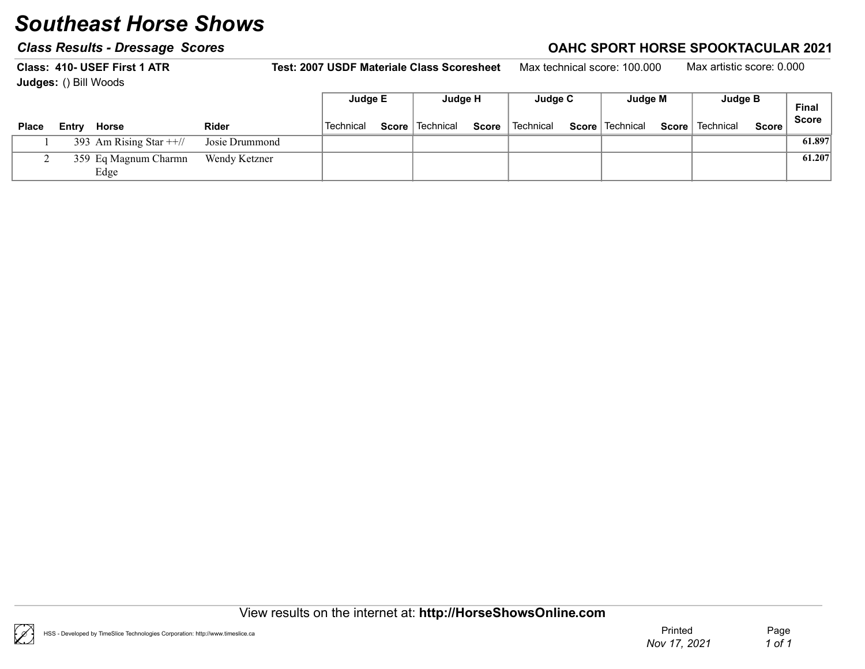### Class Results - Dressage Scores Class According to the Class Results - Dressage Scores Class According to the C

Class: 410- USEF First 1 ATR Test: 2007 USDF Materiale Class Scoresheet Max technical score: 100.000 Max artistic score: 0.000 Judges: () Bill Woods Final Judge E Judge H Judge C Judge M Judge B

| <b>Place</b> | Entry | Horse                        | <b>Rider</b>   | Technical | Score Technical | Score | l Technical | <b>Score</b> Technical | Score   Technical | Score i | -------<br><b>Score</b> |
|--------------|-------|------------------------------|----------------|-----------|-----------------|-------|-------------|------------------------|-------------------|---------|-------------------------|
|              |       | 393 Am Rising Star $++$      | Josie Drummond |           |                 |       |             |                        |                   |         | 61.897                  |
|              |       | 359 Eq Magnum Charmn<br>Edge | Wendy Ketzner  |           |                 |       |             |                        |                   |         | 61.207                  |

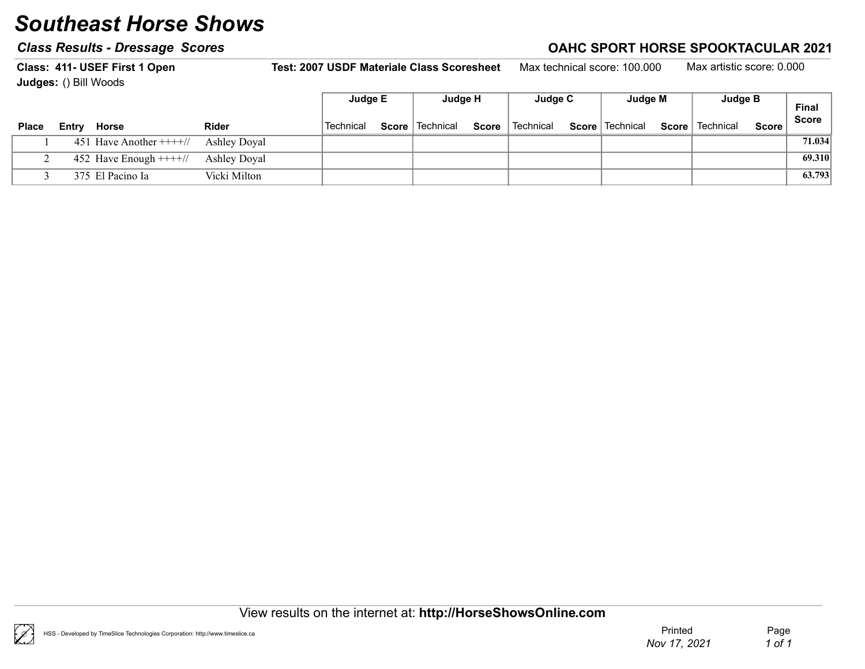#### Class Results - Dressage Scores Class According to the Class Results - Dressage Scores Class According to the C

Class: 411- USEF First 1 Open Test: 2007 USDF Materiale Class Scoresheet Max technical score: 100.000 Max artistic score: 0.000 Judges: () Bill Woods Final Score Judge E | Judge H | Judge C | Judge M | Judge B Place Entry Horse  $\blacksquare$  Rider  $\blacksquare$  Technical Score Technical Score Technical Score Technical Score Technical Score Score

| <b>Place</b> | Entry | Horse                                | Rider        | Technical | Score   lechnical | Score | Technical | Score   lechnical | Score | Technical | Score |        |
|--------------|-------|--------------------------------------|--------------|-----------|-------------------|-------|-----------|-------------------|-------|-----------|-------|--------|
|              |       | 451 Have Another $+++/$ Ashley Doyal |              |           |                   |       |           |                   |       |           |       | 71.034 |
|              |       | 452 Have Enough $+++/$ Ashley Doyal  |              |           |                   |       |           |                   |       |           |       | 69.310 |
|              |       | 375 El Pacino Ia                     | Vicki Milton |           |                   |       |           |                   |       |           |       | 63.793 |

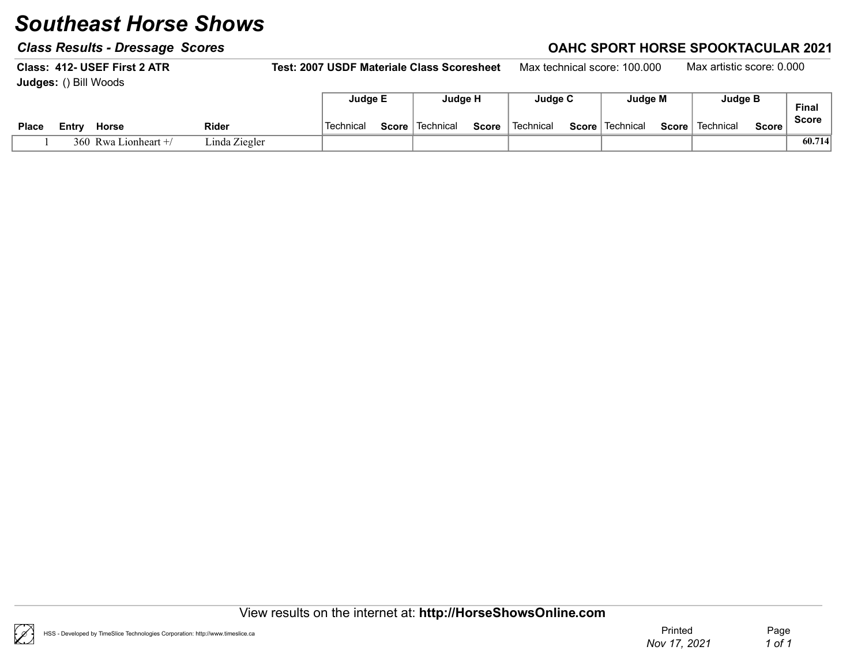### Class Results - Dressage Scores Class Results - Dressage Scores Class Results - Dressage Scores Class Results - D

Class: 412- USEF First 2 ATR Test: 2007 USDF Materiale Class Scoresheet Max technical score: 100.000 Max artistic score: 0.000 Judges: () Bill Woods Judge E Judge H Judge C Judge M Judge B

|              |                        |               |           |       | .           |              | .         | .                      |       |           |              | Final        |  |
|--------------|------------------------|---------------|-----------|-------|-------------|--------------|-----------|------------------------|-------|-----------|--------------|--------------|--|
| <b>Place</b> | <b>Horse</b><br>∠⊂ntrv | <b>Rider</b>  | Technical | Score | ∣ Technical | <b>Score</b> | Technical | <b>Score</b> Technical | Score | Technical | <b>Score</b> | <b>Score</b> |  |
|              | 360 Rwa Lionheart +/   | Linda Ziegler |           |       |             |              |           |                        |       |           |              | 60.714       |  |

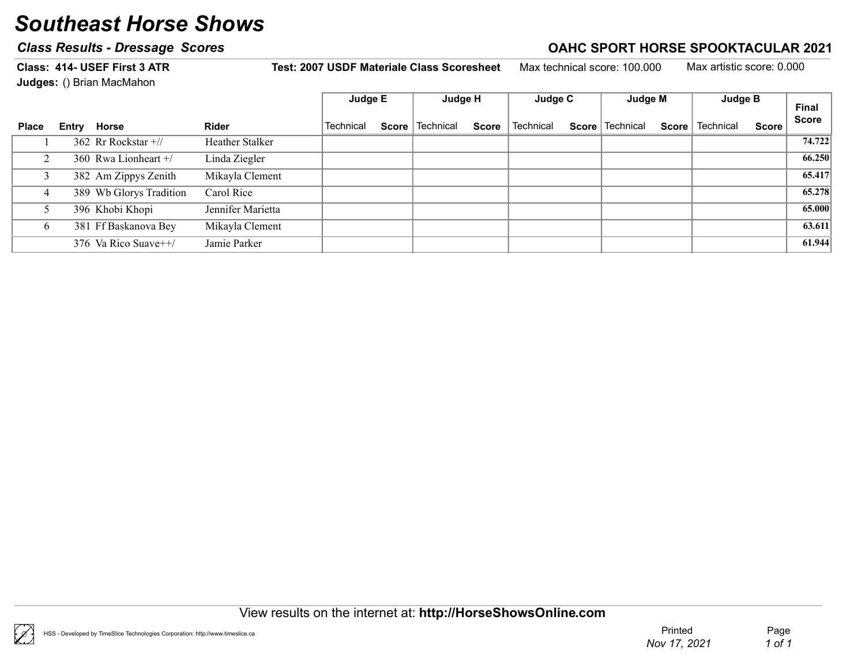### Class Results - Dressage Scores Class According to the Class Results - Dressage Scores Class According to the C

Class: 414- USEF First 3 ATR Test: 2007 USDF Materiale Class Scoresheet Max technical score: 100.000 Max artistic score: 0.000

Judges: () Brian MacMahon

|              |       |                         |                   | Judge E          |  |                   |              |           |                   |              |           |       |              |
|--------------|-------|-------------------------|-------------------|------------------|--|-------------------|--------------|-----------|-------------------|--------------|-----------|-------|--------------|
|              |       |                         |                   |                  |  | Judge H           |              | Judge C   | Judge M           |              | Judge B   |       |              |
|              |       |                         |                   |                  |  |                   |              |           |                   |              |           |       | <b>Final</b> |
| <b>Place</b> | Entry | Horse                   | <b>Rider</b>      | <b>Technical</b> |  | Score   Technical | <b>Score</b> | Technical | Score   Technical | <b>Score</b> | Technical | Score | <b>Score</b> |
|              |       | 362 Rr Rockstar +//     | Heather Stalker   |                  |  |                   |              |           |                   |              |           |       | 74.722       |
|              |       | 360 Rwa Lionheart +/    | Linda Ziegler     |                  |  |                   |              |           |                   |              |           |       | 66.250       |
|              |       | 382 Am Zippys Zenith    | Mikayla Clement   |                  |  |                   |              |           |                   |              |           |       | 65.417       |
| 4            |       | 389 Wb Glorys Tradition | Carol Rice        |                  |  |                   |              |           |                   |              |           |       | 65.278       |
|              |       | 396 Khobi Khopi         | Jennifer Marietta |                  |  |                   |              |           |                   |              |           |       | 65.000       |
| 6            |       | 381 Ff Baskanova Bey    | Mikayla Clement   |                  |  |                   |              |           |                   |              |           |       | 63.611       |
|              |       | 376 Va Rico Suave++/    | Jamie Parker      |                  |  |                   |              |           |                   |              |           |       | 61.944       |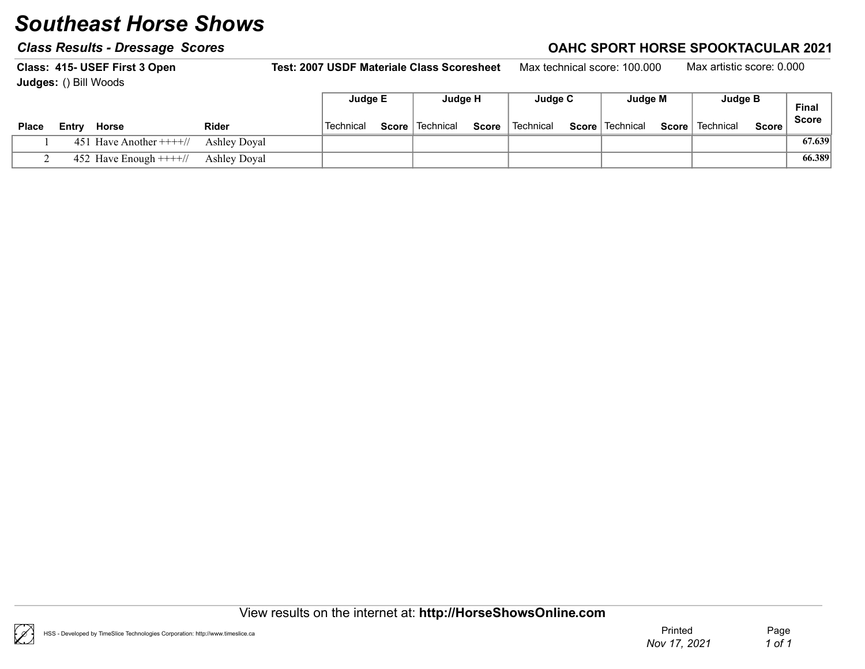### Class Results - Dressage Scores Class Results - Dressage Scores Class Results - Dressage Scores Class Results - D

Class: 415- USEF First 3 Open Test: 2007 USDF Materiale Class Scoresheet Max technical score: 100.000 Max artistic score: 0.000 Judges: () Bill Woods Final Score Judge E Judge H Judge C Judge M Judge B

|              | <b>Judges:</b> () DIII VVOOQS |              |           |                   |              |           |                   |       |           |              |              |
|--------------|-------------------------------|--------------|-----------|-------------------|--------------|-----------|-------------------|-------|-----------|--------------|--------------|
|              |                               |              | Judge E   | Judge H           |              | Judge C   | Judge M           |       | Judge B   |              | <b>Final</b> |
| <b>Place</b> | Horse<br>Entrv                | <b>Rider</b> | Technical | Score   Technical | <b>Score</b> | Technical | Score   Technical | Score | Technical | <b>Score</b> | <b>Score</b> |
|              | 451 Have Another $+++/$       | Ashley Doyal |           |                   |              |           |                   |       |           |              | 67.639       |
|              | 452 Have Enough $+++/$        | Ashley Doyal |           |                   |              |           |                   |       |           |              | 66.389       |

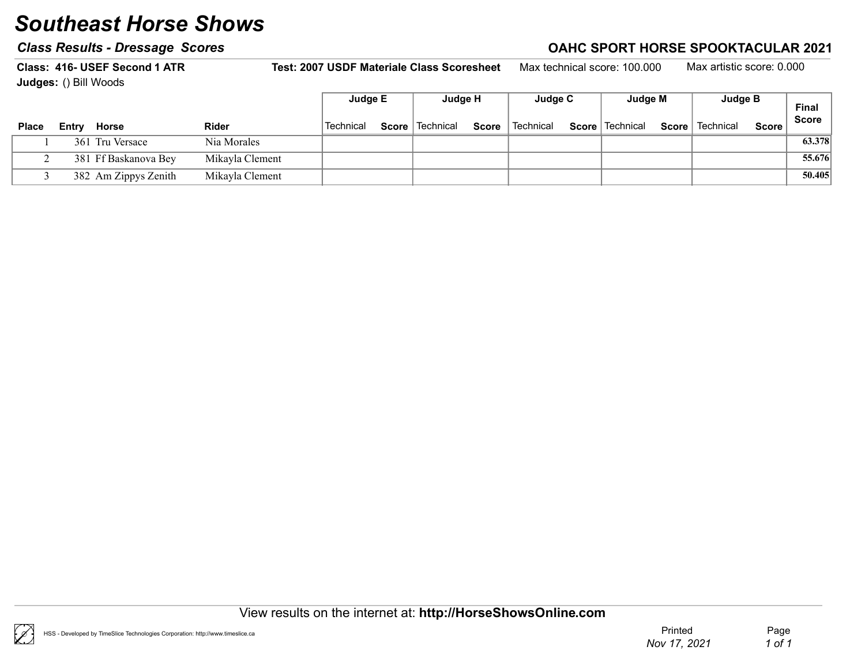#### Class Results - Dressage Scores Correction Class According to the Case of Class Results - Dressage Scores Controller

Class: 416- USEF Second 1 ATR Test: 2007 USDF Materiale Class Scoresheet Max technical score: 100.000 Max artistic score: 0.000 Judges: () Bill Woods Final Score Judge E Judge H Judge C Judge M Judge B Place Entry Horse  $\blacksquare$  Rider  $\blacksquare$  Technical Score Technical Score Technical Score Technical Score Technical Score Score 1 361 Tru Versace Nia Morales Nia Morales (33.378)

2 381 Ff Baskanova Bey Mikayla Clement Francisco Contract and The Contract of the St.676 S5.676 3 382 Mikayla Clement Am Zippys Zenith 50.405

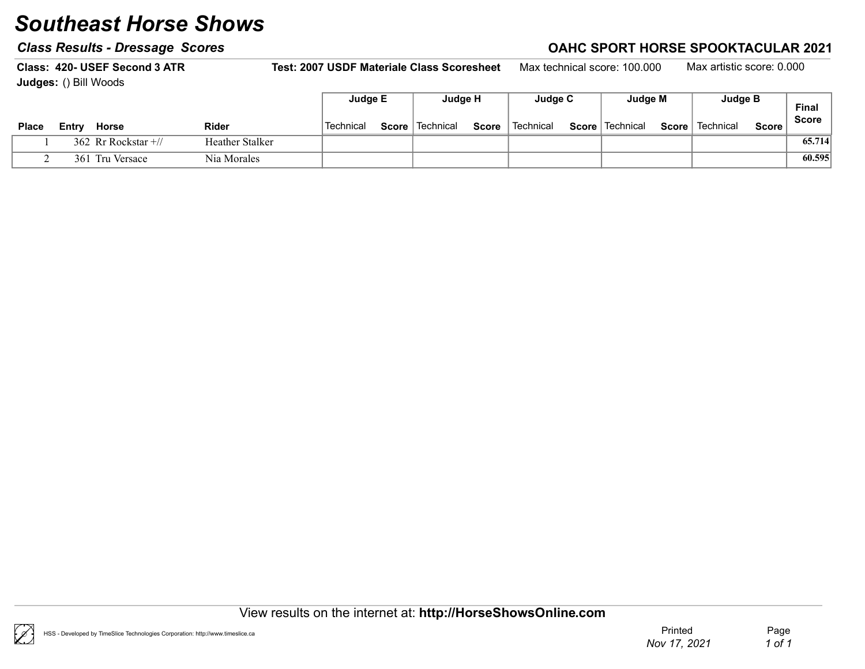### Class Results - Dressage Scores Class According to the Class Results - Dressage Scores Class According to the C

Class: 420- USEF Second 3 ATR Test: 2007 USDF Materiale Class Scoresheet Max technical score: 100.000 Max artistic score: 0.000 Judges: () Bill Woods Judge E | Judge H | Judge C | Judge M | Judge B

| <b>Place</b> | Horse<br>Entry           | <b>Rider</b>    | 'Technical | Score   Technical | Score | <sup>l</sup> Technical | Score   Technical | Score | Technical | Score i | Final<br><b>Score</b> |
|--------------|--------------------------|-----------------|------------|-------------------|-------|------------------------|-------------------|-------|-----------|---------|-----------------------|
|              | 362 Rr Rockstar $\pm$ // | Heather Stalker |            |                   |       |                        |                   |       |           |         | 65.714                |
|              | 361 Tru Versace          | Nia Morales     |            |                   |       |                        |                   |       |           |         | 60.595                |

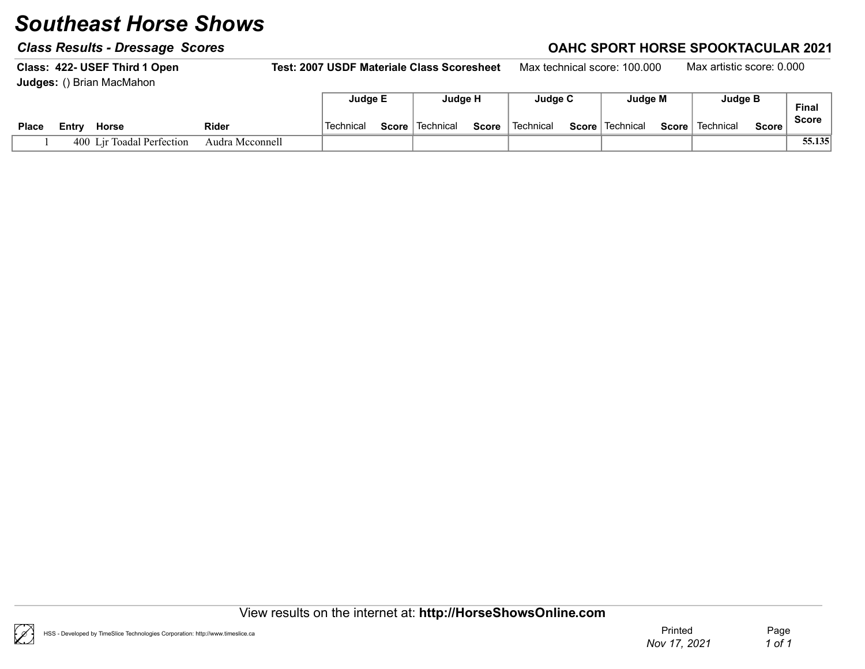### Class Results - Dressage Scores Class Results - Dressage Scores Class Results - Dressage Scores Class Results - D

Class: 422- USEF Third 1 Open Test: 2007 USDF Materiale Class Scoresheet Max technical score: 100.000 Max artistic score: 0.000 Judges: () Brian MacMahon Judge E Judge H Judge C Judge M Judge B

|              |        |                           |                 | Judge E   | Judge H           |       | Judae C     | Judge M                | Judge B           |        | Final        |
|--------------|--------|---------------------------|-----------------|-----------|-------------------|-------|-------------|------------------------|-------------------|--------|--------------|
| <b>Place</b> | ∠⊂ntrv | <b>Horse</b>              | Rider           | Technical | Score   Technical | Score | ` Technical | <b>Score</b> Technical | Score   Technical | Score, | <b>Score</b> |
|              |        | 400 Lir Toadal Perfection | Audra Mcconnell |           |                   |       |             |                        |                   |        | 55.135       |

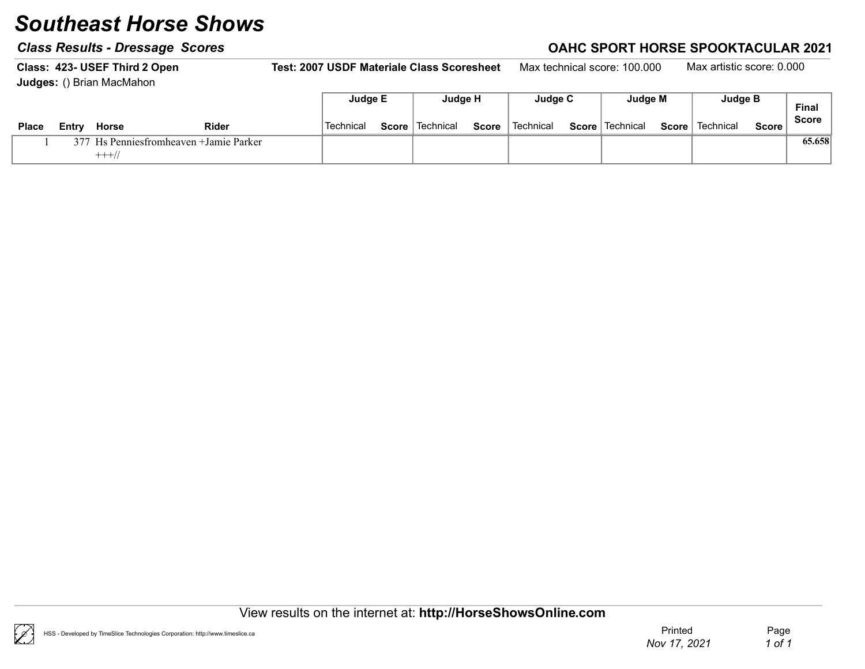#### Class Results - Dressage Scores Class According to the Class Results - Dressage Scores Class According to the C

Class: 423- USEF Third 2 Open Test: 2007 USDF Materiale Class Scoresheet Max technical score: 100.000 Max artistic score: 0.000 Judges: () Brian MacMahon

|              |       |                                         |              | Judge E   | Judge H           |              | Judge C                | Judge M           | <b>Judge B</b>    |              | Final        |
|--------------|-------|-----------------------------------------|--------------|-----------|-------------------|--------------|------------------------|-------------------|-------------------|--------------|--------------|
| <b>Place</b> | Entrv | <b>Horse</b>                            | <b>Rider</b> | Technical | Score   Technical | <b>Score</b> | <sup>∖</sup> Technical | Score   Technical | Score   Technical | <b>Score</b> | <b>Score</b> |
|              |       | 377 Hs Penniesfromheaven + Jamie Parker |              |           |                   |              |                        |                   |                   |              | 65.658       |
|              |       | $+++//$                                 |              |           |                   |              |                        |                   |                   |              |              |

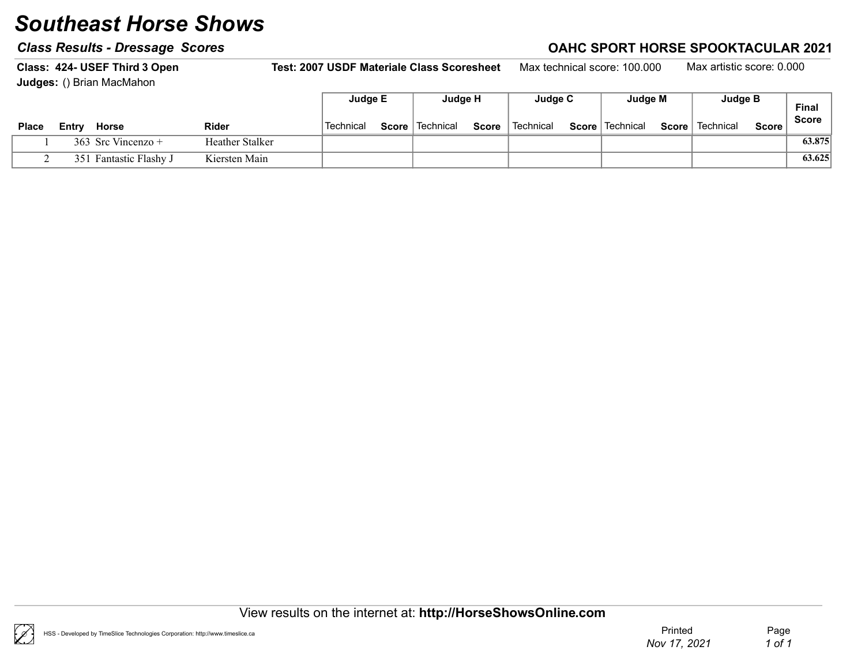### Class Results - Dressage Scores Class According to the Class Results - Dressage Scores Class According to the C

Class: 424- USEF Third 3 Open Test: 2007 USDF Materiale Class Scoresheet Max technical score: 100.000 Max artistic score: 0.000 Judges: () Brian MacMahon

|       |       |                    |                 | Judge E   | Judge H           |              | Judge C                | Judge M           |       | Judge B   |         | <b>Final</b> |
|-------|-------|--------------------|-----------------|-----------|-------------------|--------------|------------------------|-------------------|-------|-----------|---------|--------------|
| Place | Entrv | Horse              | <b>Rider</b>    | Technical | Score   Technical | <b>Score</b> | <sup>'</sup> Technical | Score   Technical | Score | Technical | Score . | <b>Score</b> |
|       |       | 363 Src Vincenzo + | Heather Stalker |           |                   |              |                        |                   |       |           |         | 63.875       |
|       | 351   | Fantastic Flashy J | Kiersten Main   |           |                   |              |                        |                   |       |           |         | 63.625       |

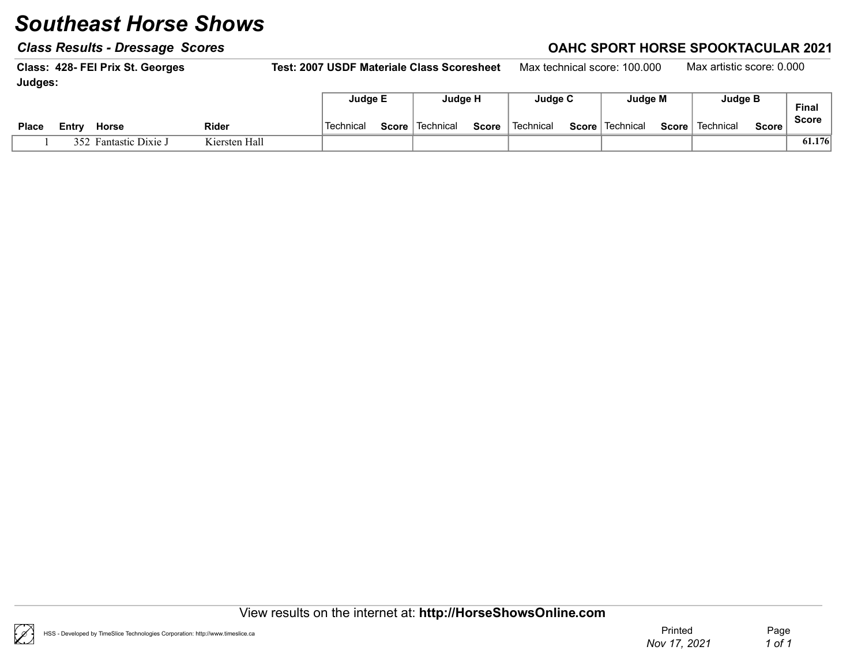### Class Results - Dressage Scores Class According to the Class Results - Dressage Scores Class According to the C

Class: 428- FEI Prix St. Georges Test: 2007 USDF Materiale Class Scoresheet Max technical score: 100.000 Max artistic score: 0.000 Judges: Г Judge E Judge H Judge C Judge M Judge B

|              |        |                       |               |           |              | .           |              | $- - - - - - -$ |       | .                      |       | $- - - - -$               |         | <b>Final</b> |
|--------------|--------|-----------------------|---------------|-----------|--------------|-------------|--------------|-----------------|-------|------------------------|-------|---------------------------|---------|--------------|
| <b>Place</b> | ∠⊂ntrv | <b>Horse</b>          | <b>Rider</b>  | Technical | <b>Score</b> | ∣ Technical | <b>Score</b> | Technical       | Score | <sup>1</sup> Technical | Score | $^{\mathrm{+}}$ Technical | Score i | <b>Score</b> |
|              |        | 352 Fantastic Dixie J | Kiersten Hall |           |              |             |              |                 |       |                        |       |                           |         | 61.176       |

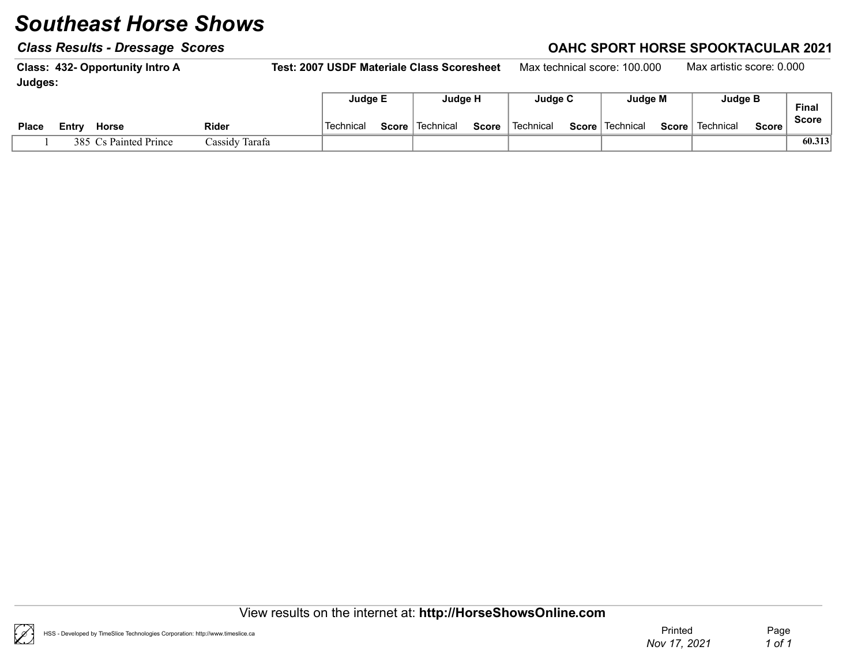### Class Results - Dressage Scores Class Results - Dressage Scores Class Results - Dressage Scores Class Results - D

Class: 432- Opportunity Intro A Test: 2007 USDF Materiale Class Scoresheet Max technical score: 100.000 Max artistic score: 0.000 Judges: Judge E Judge H Judge C Judge M Judge B

|              |       |                       |                | . <b>. .</b> | . <b>. .</b> .    |       | .           |       | . <b>. .</b> | . <b>.</b> .      |         | <b>Final</b> |
|--------------|-------|-----------------------|----------------|--------------|-------------------|-------|-------------|-------|--------------|-------------------|---------|--------------|
| <b>Place</b> | Entr∨ | <b>Horse</b>          | Rider          | Technical    | Score   Technical | Score | ՝ Technical | Score | ∣ Technical  | Score   Technical | Score i | <b>Score</b> |
|              |       | 385 Cs Painted Prince | Cassidy Tarafa |              |                   |       |             |       |              |                   |         | 60.313       |

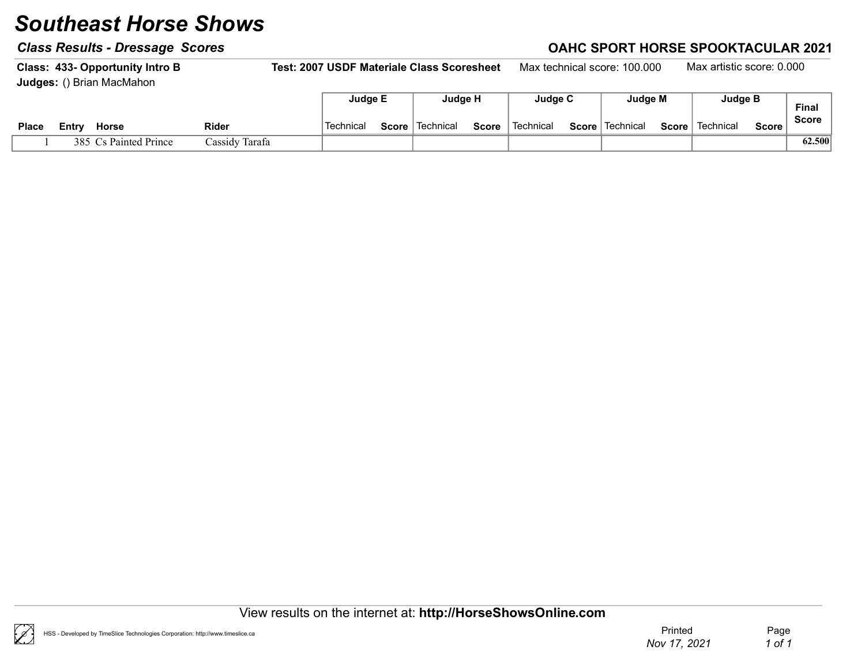#### Class Results - Dressage Scores Class According to the Class Results - Dressage Scores Class According to the C

Class: 433- Opportunity Intro B Test: 2007 USDF Materiale Class Scoresheet Max technical score: 100.000 Max artistic score: 0.000 Judges: () Brian MacMahon Judge E Judge H Judge C Judge M Judge B

|              |        |                      |                |           |       |                        |              |           |       |                        |             |              | Final        |
|--------------|--------|----------------------|----------------|-----------|-------|------------------------|--------------|-----------|-------|------------------------|-------------|--------------|--------------|
| <b>Place</b> | ∟⊏ntrv | <b>Horse</b>         | Rider          | Technical | Score | <sup>∖</sup> Technical | <b>Score</b> | Technical | Score | <sup>∣</sup> Technical | ∣ Technical | <b>Score</b> | <b>Score</b> |
|              | 385    | $C_s$ Painted Prince | Cassidy Tarafa |           |       |                        |              |           |       |                        |             |              | 62.500       |

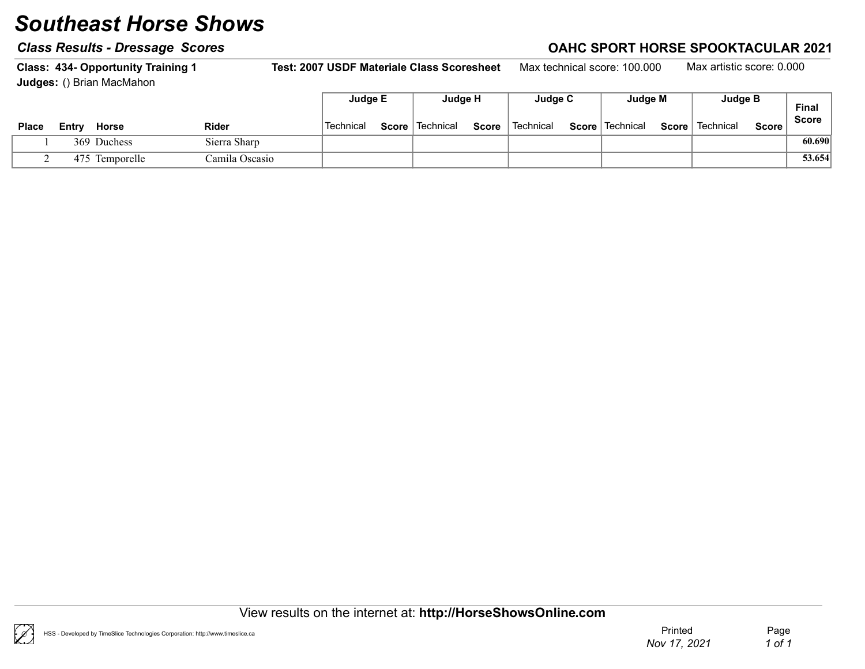#### Class Results - Dressage Scores Class According to the Class Results - Dressage Scores Class According to the C

Class: 434- Opportunity Training 1 Test: 2007 USDF Materiale Class Scoresheet Max technical score: 100.000 Max artistic score: 0.000 Judges: () Brian MacMahon Judge E Judge H Judge C Judge M Judge B

|              |       |                |                | Juage E   |       | Juage H     |              | Judge C   | Juage M           |       | Judge B   |       | Final        |
|--------------|-------|----------------|----------------|-----------|-------|-------------|--------------|-----------|-------------------|-------|-----------|-------|--------------|
| <b>Place</b> | Entry | <b>Horse</b>   | Rider          | Technical | Score | ∣ Technical | <b>Score</b> | Technical | Score   Technical | Score | Technical | Score | <b>Score</b> |
|              |       | 369 Duchess    | Sierra Sharp   |           |       |             |              |           |                   |       |           |       | 60.690       |
|              |       | 475 Temporelle | Camila Oscasio |           |       |             |              |           |                   |       |           |       | 53.654       |

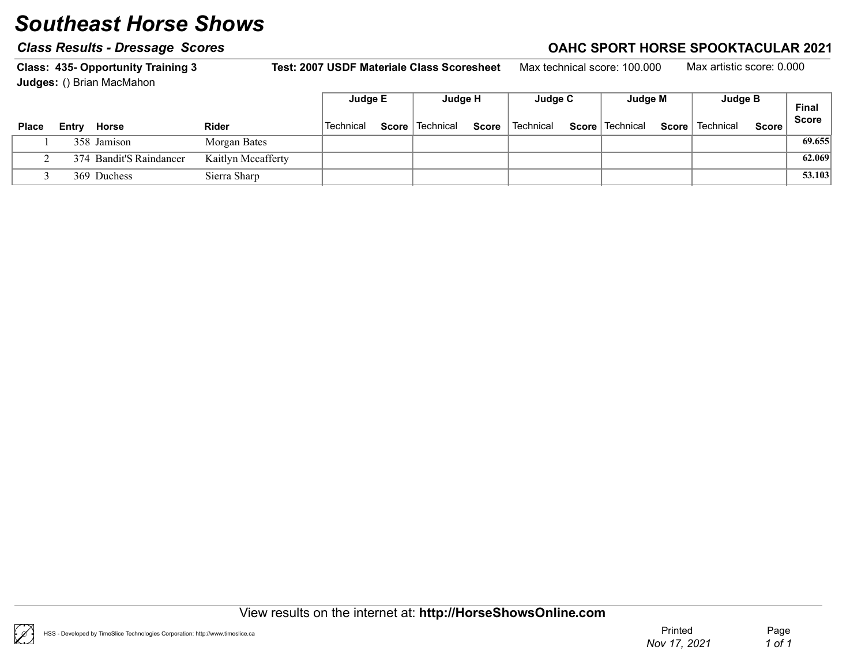### Class Results - Dressage Scores Class Results - Dressage Scores Class Results - Dressage Scores Class Results - D

Class: 435- Opportunity Training 3 Test: 2007 USDF Materiale Class Scoresheet Max technical score: 100.000 Max artistic score: 0.000 Judges: () Brian MacMahon  $\overline{ }$ 

|              |       |                         |                    | Judge E          | Judge H           |              | Judge C     | Judge M           |       | Judge B   |              | <b>Final</b> |
|--------------|-------|-------------------------|--------------------|------------------|-------------------|--------------|-------------|-------------------|-------|-----------|--------------|--------------|
| <b>Place</b> | Entrv | Horse                   | <b>Rider</b>       | <b>Technical</b> | Score   Technical | <b>Score</b> | ็ Technical | Score   Technical | Score | Technical | <b>Score</b> | <b>Score</b> |
|              |       | 358 Jamison             | Morgan Bates       |                  |                   |              |             |                   |       |           |              | 69.655       |
|              |       | 374 Bandit'S Raindancer | Kaitlyn Mccafferty |                  |                   |              |             |                   |       |           |              | 62.069       |
|              |       | 369 Duchess             | Sierra Sharp       |                  |                   |              |             |                   |       |           |              | 53.103       |



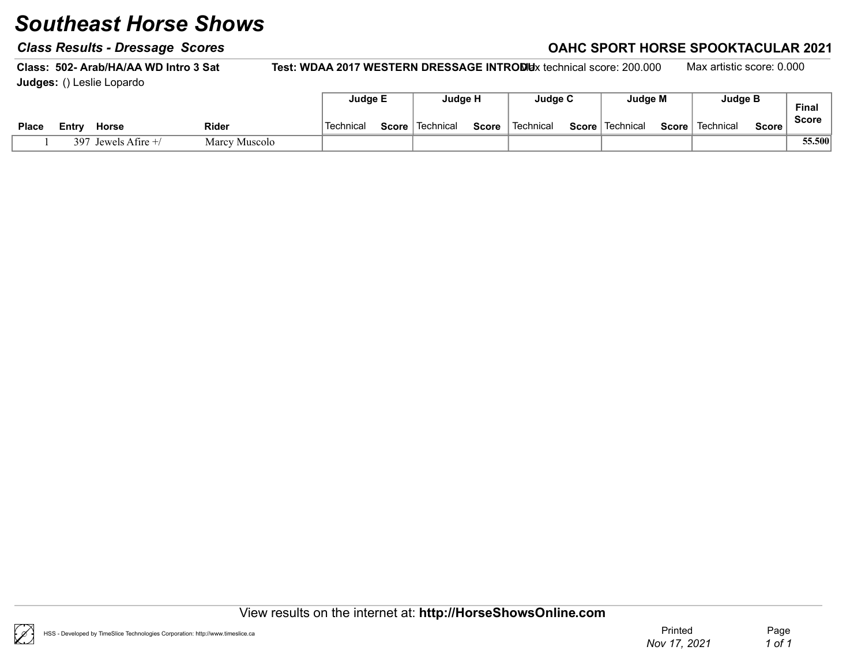#### Class Results - Dressage Scores Class According to the Class Results - Dressage Scores Class According to the C

Class: 502- Arab/HA/AA WD Intro 3 Sat Test: WDAA 2017 WESTERN DRESSAGE INTRODUx technical score: 200.000 Max artistic score: 0.000 Judges: () Leslie Lopardo

|              |                           |               | Judge E   |              | Judge H     |              | Judge C     | Judge M           |       | <b>Judge B</b> |        | <b>Final</b> |
|--------------|---------------------------|---------------|-----------|--------------|-------------|--------------|-------------|-------------------|-------|----------------|--------|--------------|
| <b>Place</b> | <b>Horse</b><br>Entrv     | Rider         | Technical | <b>Score</b> | ∣ Technical | <b>Score</b> | ็ Technical | Score   Technical | Score | Technical      | Score, | <b>Score</b> |
|              | Jewels Afire $+$ /<br>397 | Marcy Muscolo |           |              |             |              |             |                   |       |                |        | 55.500       |

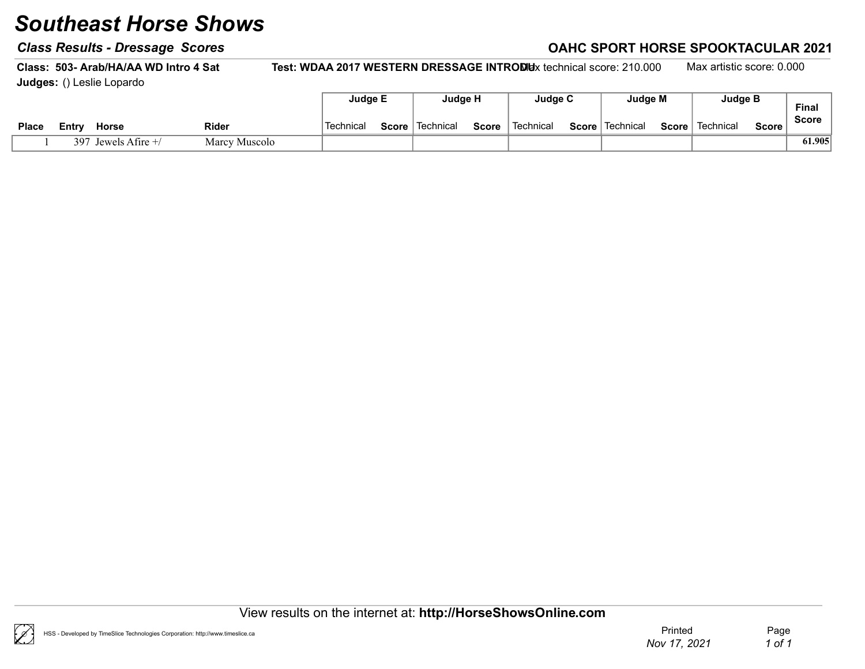#### Class Results - Dressage Scores Class According to the Class Results - Dressage Scores Class According to the C

Class: 503- Arab/HA/AA WD Intro 4 Sat Test: WDAA 2017 WESTERN DRESSAGE INTRODUx technical score: 210.000 Max artistic score: 0.000 Judges: () Leslie Lopardo

|              |                           |               | <b>Judge E</b> |       | Judge H   |       | Judge C     |       | Judge M                |       | <b>Judge B</b> |        | <b>Final</b> |
|--------------|---------------------------|---------------|----------------|-------|-----------|-------|-------------|-------|------------------------|-------|----------------|--------|--------------|
| <b>Place</b> | <b>Horse</b><br>Entr⊻     | <b>Rider</b>  | Technical      | Score | Technical | Score | ˈ Technical | Score | <sup>∣</sup> Technical | Score | Technical      | Score, | <b>Score</b> |
|              | 397<br>Jewels Afire $+$ / | Marcy Muscolo |                |       |           |       |             |       |                        |       |                |        | 61.905       |

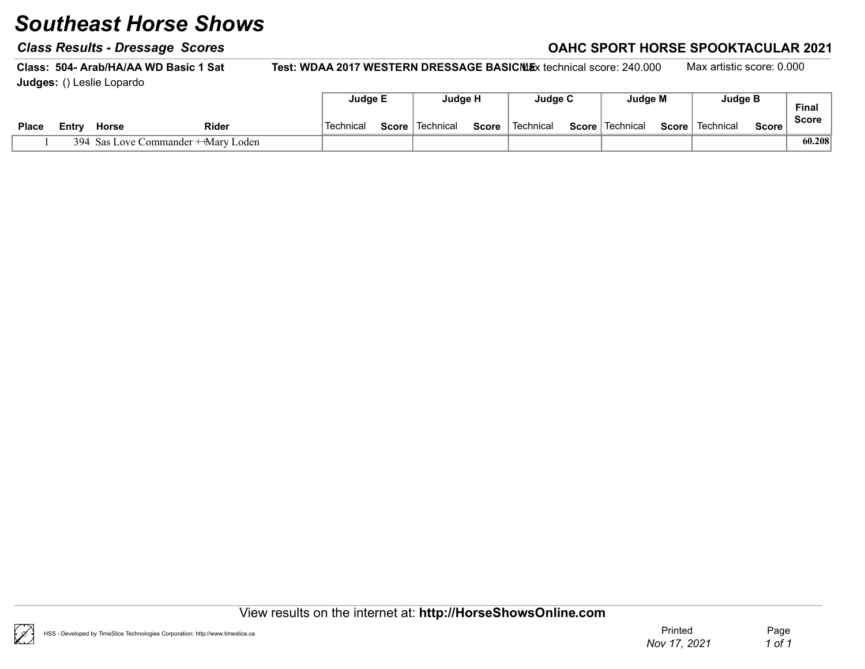#### Class Results - Dressage Scores Class According to the Class Results - Dressage Scores Class According to the C

Class: 504- Arab/HA/AA WD Basic 1 Sat Test: WDAA 2017 WESTERN DRESSAGE BASICMEx technical score: 240.000 Max artistic score: 0.000 Judges: () Leslie Lopardo

|              |       |       |                                     | Judge E   | Judge H           |              | Judge C   | Judge M           |              | Judge B   |         | <b>Final</b> |
|--------------|-------|-------|-------------------------------------|-----------|-------------------|--------------|-----------|-------------------|--------------|-----------|---------|--------------|
| <b>Place</b> | Entrv | Horse | <b>Rider</b>                        | Technical | Score   Technical | <b>Score</b> | Technical | Score   Technical | $Score \mid$ | Technical | Score i | <b>Score</b> |
|              |       |       | 394 Sas Love Commander + Mary Loden |           |                   |              |           |                   |              |           |         | 60.208       |



 $\mathscr{C}$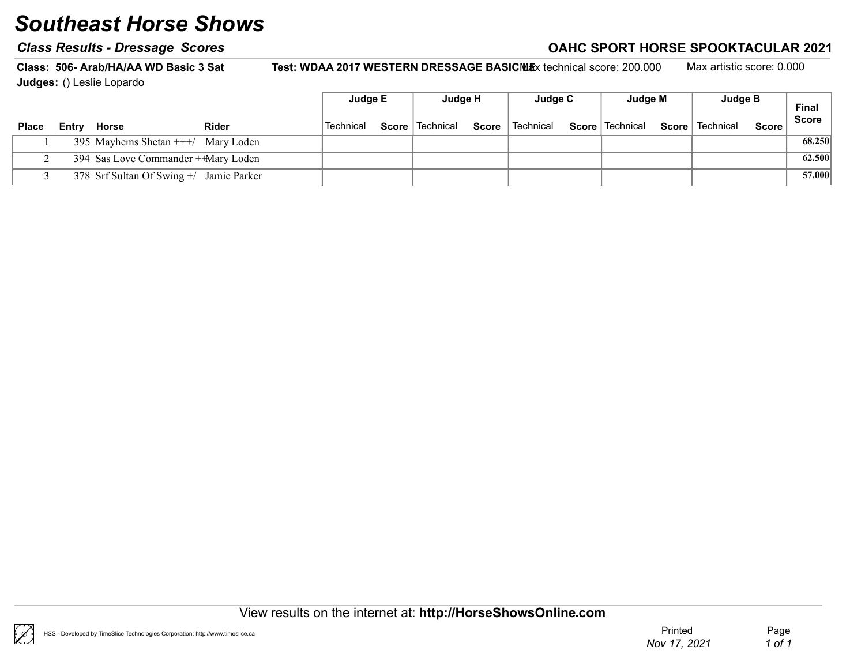#### Class Results - Dressage Scores Class According to the Class Results - Dressage Scores Class According to the C

Class: 506- Arab/HA/AA WD Basic 3 Sat Test: WDAA 2017 WESTERN DRESSAGE BASICMEx technical score: 200.000 Max artistic score: 0.000 Judges: () Leslie Lopardo

|              |                                         |              | Judge E   | Judge H                  | Judge C                                       | Judge M |       | Judge B   |              | <b>Final</b> |
|--------------|-----------------------------------------|--------------|-----------|--------------------------|-----------------------------------------------|---------|-------|-----------|--------------|--------------|
| <b>Place</b> | Entry Horse                             | <b>Rider</b> | Technical | <b>Score</b>   Technical | <b>Score</b> Technical <b>Score</b> Technical |         | Score | Technical | <b>Score</b> | Score        |
|              | 395 Mayhems Shetan $++/$ Mary Loden     |              |           |                          |                                               |         |       |           |              | 68.250       |
|              | 394 Sas Love Commander + Mary Loden     |              |           |                          |                                               |         |       |           |              | 62.500       |
|              | 378 Srf Sultan Of Swing +/ Jamie Parker |              |           |                          |                                               |         |       |           |              | 57.000       |

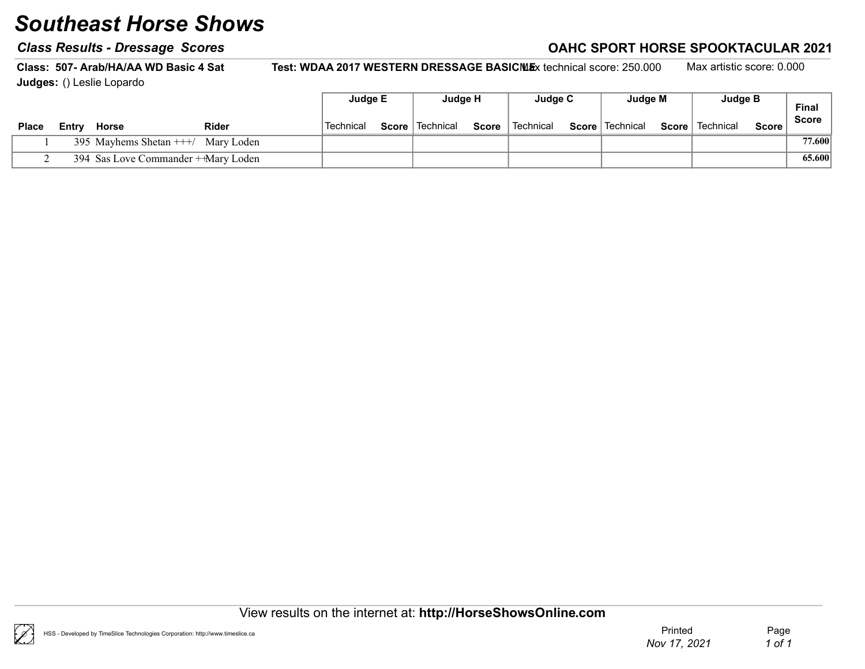### Class Results - Dressage Scores Class Results - Dressage Scores Class Results - Dressage Scores Class Results - D

Class: 507- Arab/HA/AA WD Basic 4 Sat Test: WDAA 2017 WESTERN DRESSAGE BASICMEx technical score: 250.000 Max artistic score: 0.000 Judges: () Leslie Lopardo

|              |       |                                     |              | Judge E   | Judge H           |              | Judge C     | Judge M           |       | Judge B   |              | <b>Final</b> |
|--------------|-------|-------------------------------------|--------------|-----------|-------------------|--------------|-------------|-------------------|-------|-----------|--------------|--------------|
| <b>Place</b> | Entrv | Horse                               | <b>Rider</b> | Technical | Score   Technical | <b>Score</b> | ` Technical | Score   Technical | Score | Technical | <b>Score</b> | Score        |
|              |       | 395 Mayhems Shetan $++/$ Mary Loden |              |           |                   |              |             |                   |       |           |              | 77.600       |
|              |       | 394 Sas Love Commander + Mary Loden |              |           |                   |              |             |                   |       |           |              | 65.600       |

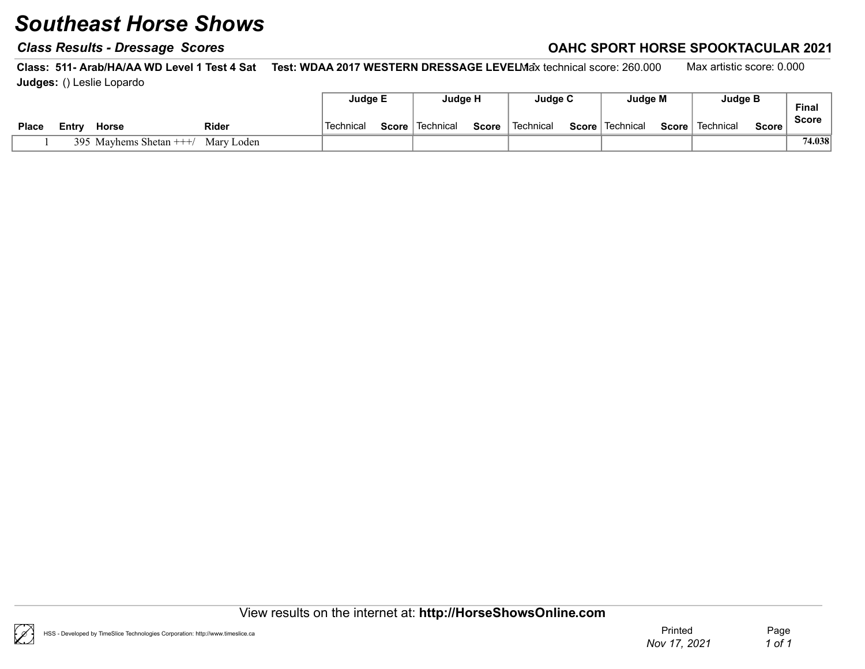#### Class Results - Dressage Scores Class According to the Class Results - Dressage Scores Class According to the C

Class: 511- Arab/HA/AA WD Level 1 Test 4 Sat Test: WDAA 2017 WESTERN DRESSAGE LEVELMax technical score: 260.000 Max artistic score: 0.000 Judges: () Leslie Lopardo

|              |       |                         |              | Judge E          | Judge H                  |       | Judae C     | Judge M           | Judge B                  |       | Final  |
|--------------|-------|-------------------------|--------------|------------------|--------------------------|-------|-------------|-------------------|--------------------------|-------|--------|
| <b>Place</b> | Entrv | <b>Horse</b>            | <b>Rider</b> | <b>Technical</b> | <b>Score</b>   Technical | Score | ˈ Technical | Score   Technical | <b>Score</b>   Technical | Score | Score  |
|              |       | 395 Mayhems Shetan $++$ | Marv Loden   |                  |                          |       |             |                   |                          |       | 74.038 |



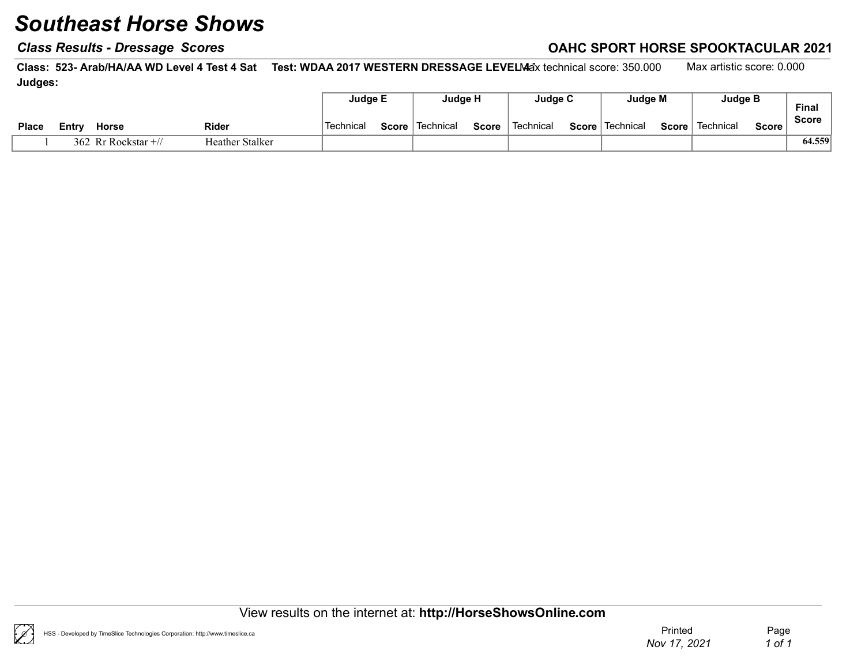### Class Results - Dressage Scores Class Results - Dressage Scores Class Results - Dressage Scores Class Results - D

Class: 523- Arab/HA/AA WD Level 4 Test 4 Sat Test: WDAA 2017 WESTERN DRESSAGE LEVELMax technical score: 350.000 Max artistic score: 0.000 Judges:

|              |                          |                 | Judge E   | Judge H           |              | Judge C   | Judge M           |       | Judge B   |         | <b>Final</b> |
|--------------|--------------------------|-----------------|-----------|-------------------|--------------|-----------|-------------------|-------|-----------|---------|--------------|
| <b>Place</b> | <b>Horse</b><br>Entry    | <b>Rider</b>    | Technical | Score   Technical | <b>Score</b> | Technical | Score   Technical | Score | Technical | Score . | Score        |
|              | 362 Rr Rockstar $\pm$ // | Heather Stalker |           |                   |              |           |                   |       |           |         | 64.559       |

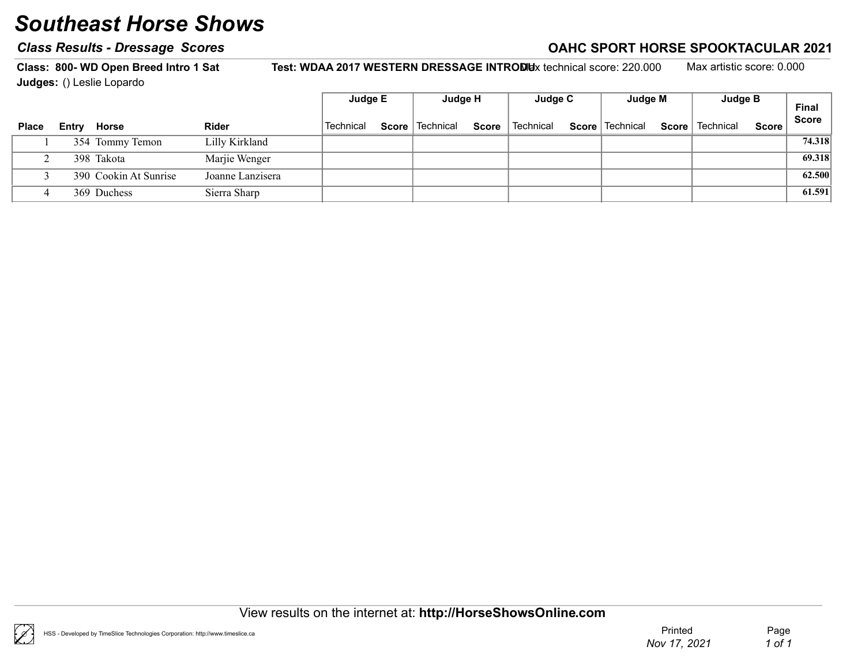### Class Results - Dressage Scores Correction Class According to AHC SPORT HORSE SPOOKTACULAR 2021

Class: 800- WD Open Breed Intro 1 Sat Test: WDAA 2017 WESTERN DRESSAGE INTROMUx technical score: 220.000 Max artistic score: 0.000

Judges: () Leslie Lopardo Final Score Judge E Judge H Judge C Judge M Judge B Place Entry Horse  $\blacksquare$  Rider  $\blacksquare$  Technical Score Technical Score Technical Score Technical Score Technical Score Score 1 354 Tommy Temon Lilly Kirkland Tommy Temon 1 354 Tommy Temon 1 354 Tommy Temon 1 354 Tommy Temon

2 398 Takota Marjie Wenger Takota 69.318 3 390 Cookin At Sunrise Joanne Lanzisera Cookin At Sunrise Cookin At Sunrise of the Cookin At Sunrise 62.500 4 369 Duchess Sierra Sharp 61.591

View results on the internet at: http://HorseShowsOnline.com

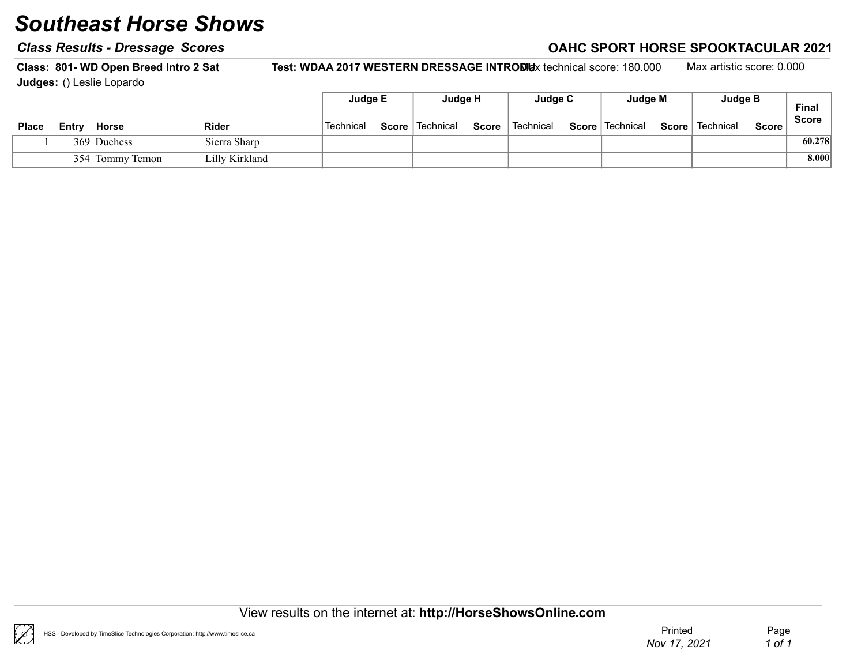### Class Results - Dressage Scores Class Results - Dressage Scores Class Results - Dressage Scores Class Results - D

Class: 801- WD Open Breed Intro 2 Sat Test: WDAA 2017 WESTERN DRESSAGE INTRODUx technical score: 180.000 Max artistic score: 0.000 Judges: () Leslie Lopardo

|              |  |                 |                | Judge E   | Judge H           |              | Judge C                | Judge M           |              | <b>Judge B</b> |         | <b>Final</b> |
|--------------|--|-----------------|----------------|-----------|-------------------|--------------|------------------------|-------------------|--------------|----------------|---------|--------------|
| <b>Place</b> |  | Entry Horse     | <b>Rider</b>   | Technical | Score   Technical | <b>Score</b> | <sup>∖</sup> Technical | Score   Technical | $Score \mid$ | Technical      | Score i | <b>Score</b> |
|              |  | 369 Duchess     | Sierra Sharp   |           |                   |              |                        |                   |              |                |         | 60.278       |
|              |  | 354 Tommy Temon | Lilly Kirkland |           |                   |              |                        |                   |              |                |         | 8.000        |

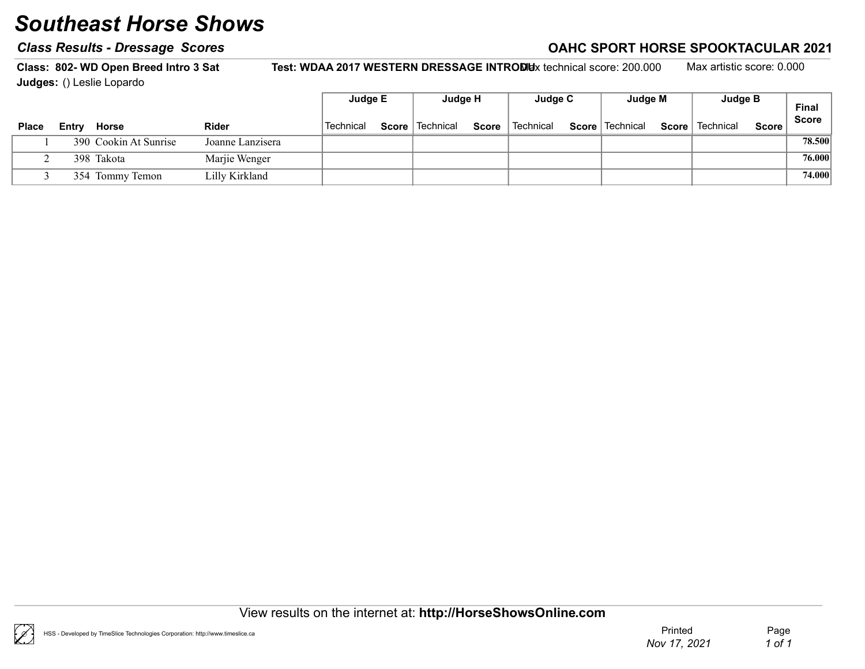### Class Results - Dressage Scores Class Results - Dressage Scores Class Results - Dressage Scores Class Results - D

Class: 802- WD Open Breed Intro 3 Sat Test: WDAA 2017 WESTERN DRESSAGE INTRODUx technical score: 200.000 Max artistic score: 0.000 Judges: () Leslie Lopardo

|              |       |                       |                  | Judge E   |       | Judge H     |              | Judge C   | Judge M           |       | Judge B   |              | <b>Final</b> |
|--------------|-------|-----------------------|------------------|-----------|-------|-------------|--------------|-----------|-------------------|-------|-----------|--------------|--------------|
| <b>Place</b> | Entry | Horse                 | <b>Rider</b>     | Technical | Score | l Technical | <b>Score</b> | Technical | Score   Technical | Score | Technical | <b>Score</b> | <b>Score</b> |
|              |       | 390 Cookin At Sunrise | Joanne Lanzisera |           |       |             |              |           |                   |       |           |              | 78.500       |
|              |       | 398 Takota            | Marjie Wenger    |           |       |             |              |           |                   |       |           |              | 76.000       |
|              |       | 354 Tommy Temon       | Lilly Kirkland   |           |       |             |              |           |                   |       |           |              | 74.000       |

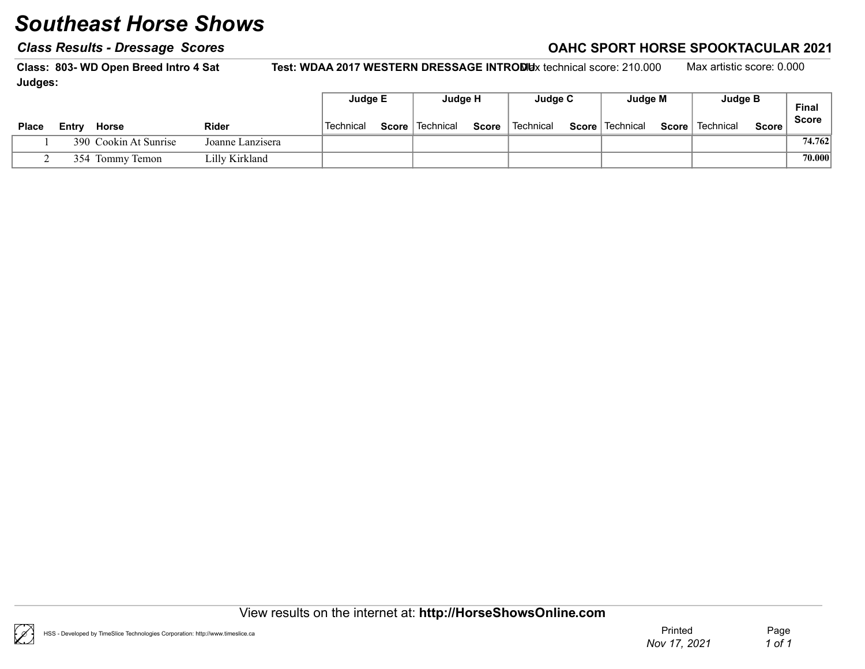#### Class Results - Dressage Scores Class According to the Class Results - Dressage Scores Class According to the C

Class: 803- WD Open Breed Intro 4 Sat Test: WDAA 2017 WESTERN DRESSAGE INTRODUx technical score: 210.000 Max artistic score: 0.000 Judges:

|              |       |                       |                  | Judge E          | Judge H           |              | Judge C   | Judge M           | Judge B           |       | Final        |
|--------------|-------|-----------------------|------------------|------------------|-------------------|--------------|-----------|-------------------|-------------------|-------|--------------|
| <b>Place</b> | Entry | Horse                 | <b>Rider</b>     | <b>Technical</b> | Score   Technical | <b>Score</b> | Technical | Score   Technical | Score   Technical | Score | <b>Score</b> |
|              |       | 390 Cookin At Sunrise | Joanne Lanzisera |                  |                   |              |           |                   |                   |       | 74.762       |
|              |       | 354 Tommy Temon       | Lilly Kirkland   |                  |                   |              |           |                   |                   |       | 70.000       |

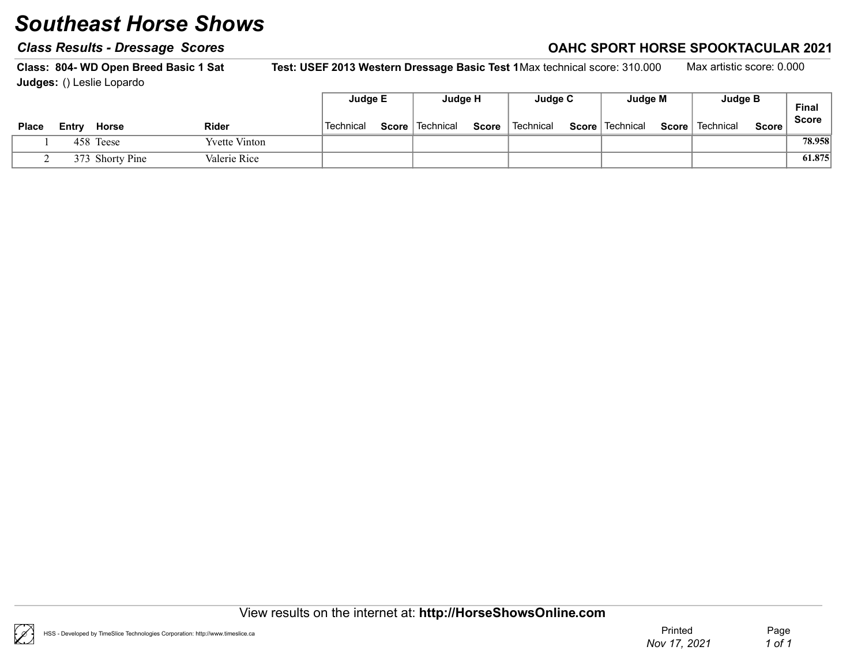#### Class Results - Dressage Scores Class According to the Class Results - Dressage Scores Class According to the C

Class: 804- WD Open Breed Basic 1 Sat Test: USEF 2013 Western Dressage Basic Test 1Max technical score: 310.000 Max artistic score: 0.000 Judges: () Leslie Lopardo

|              |       |                 |                      | Judge E   |       | Judge H     |              | Judge C   | Judge M           |       | Judge B   |              | Final        |
|--------------|-------|-----------------|----------------------|-----------|-------|-------------|--------------|-----------|-------------------|-------|-----------|--------------|--------------|
| <b>Place</b> | Entrv | <b>Horse</b>    | <b>Rider</b>         | Technical | Score | ∣ Technical | <b>Score</b> | Technical | Score   Technical | Score | Technical | <b>Score</b> | <b>Score</b> |
|              |       | 458 Teese       | <b>Yvette Vinton</b> |           |       |             |              |           |                   |       |           |              | 78.958       |
|              |       | 373 Shorty Pine | Valerie Rice         |           |       |             |              |           |                   |       |           |              | 61.875       |

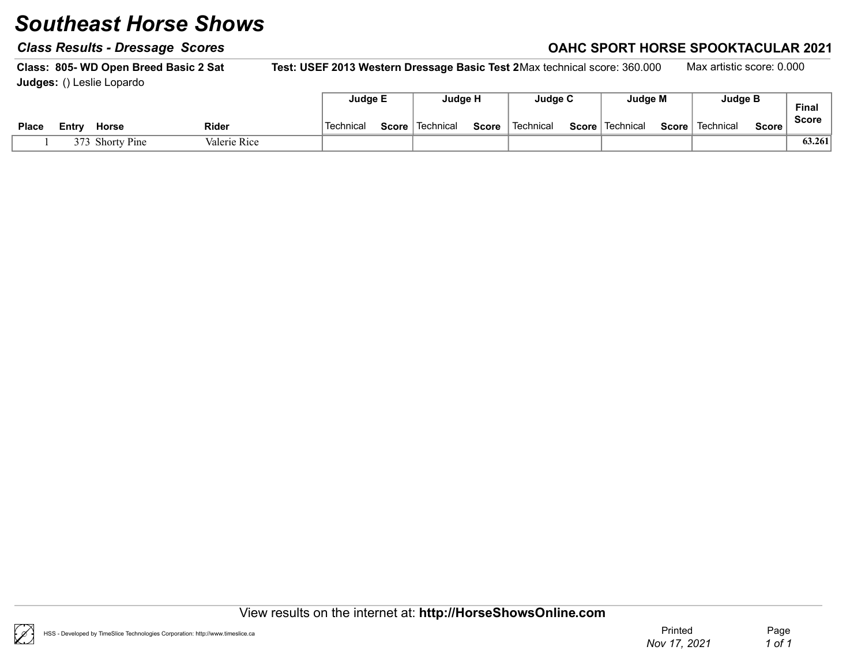#### Class Results - Dressage Scores Class According to the Class Results - Dressage Scores Class According to the C

Class: 805- WD Open Breed Basic 2 Sat Test: USEF 2013 Western Dressage Basic Test 2Max technical score: 360.000 Max artistic score: 0.000 Judges: () Leslie Lopardo

|              |       |                 |              | Judge E   |           | Judge H   |       | Judge C     |       | Judge M   |       | <b>Judge B</b> |         | <b>Final</b> |
|--------------|-------|-----------------|--------------|-----------|-----------|-----------|-------|-------------|-------|-----------|-------|----------------|---------|--------------|
| <b>Place</b> | Entry | Horse           | Rider        | Technical | Score $ $ | Technical | Score | ˈ Technical | Score | Technical | Score | Technical      | Score . | <b>Score</b> |
|              |       | 373 Shorty Pine | Valerie Rice |           |           |           |       |             |       |           |       |                |         | 63.261       |

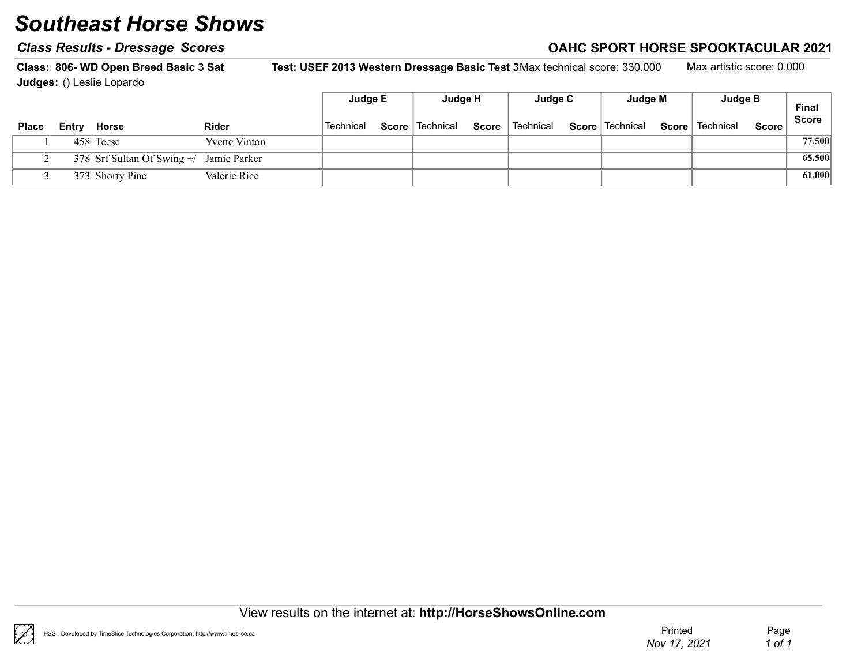#### Class Results - Dressage Scores Class According to the Class Results - Dressage Scores Class According to the C

Class: 806- WD Open Breed Basic 3 Sat Test: USEF 2013 Western Dressage Basic Test 3Max technical score: 330.000 Max artistic score: 0.000 Judges: () Leslie Lopardo

|              |                                            |                      | Judge E   | Judge H           |              | Judge C                | Judge M           |       | Judge B   |              | <b>Final</b> |
|--------------|--------------------------------------------|----------------------|-----------|-------------------|--------------|------------------------|-------------------|-------|-----------|--------------|--------------|
| <b>Place</b> | <b>Entry Horse</b>                         | <b>Rider</b>         | Technical | Score   Technical | <b>Score</b> | <sup>∣</sup> Technical | Score   Technical | Score | Technical | <b>Score</b> | <b>Score</b> |
|              | 458 Teese                                  | <b>Yvette Vinton</b> |           |                   |              |                        |                   |       |           |              | 77.500       |
|              | 378 Srf Sultan Of Swing $+/-$ Jamie Parker |                      |           |                   |              |                        |                   |       |           |              | 65.500       |
|              | 373 Shorty Pine                            | Valerie Rice         |           |                   |              |                        |                   |       |           |              | 61.000       |

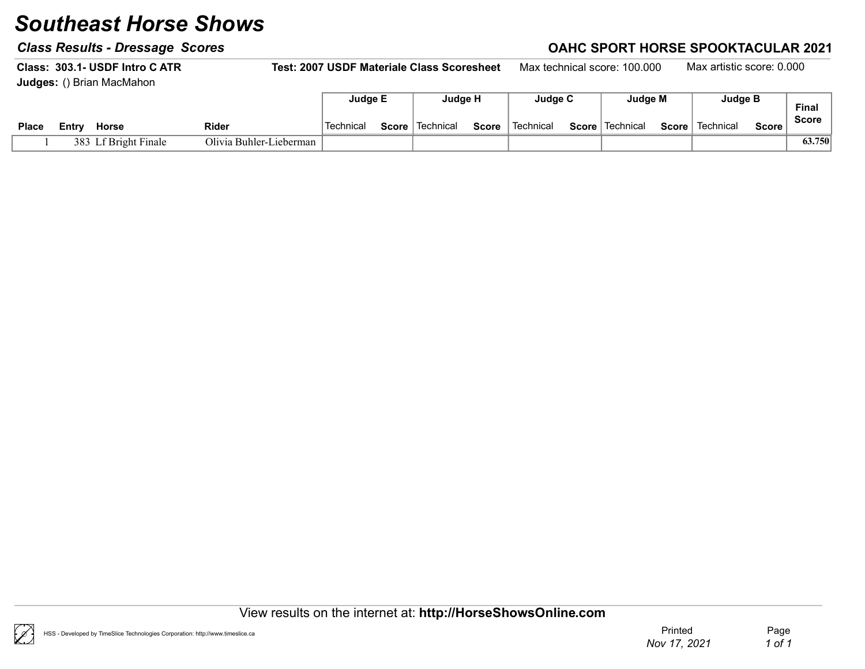### Class Results - Dressage Scores Class Results - Dressage Scores Class Results - Dressage Scores Class Results - D

Class: 303.1- USDF Intro CATR Test: 2007 USDF Materiale Class Scoresheet Max technical score: 100.000 Max artistic score: 0.000 Judges: () Brian MacMahon Е Judge E Judge H Judge C Judge M Judge B

|              |       |                  |                                | $-$        |       |           |              | $-$       |              | $    -$   |       | $\sim$ angeles |       | Final        |
|--------------|-------|------------------|--------------------------------|------------|-------|-----------|--------------|-----------|--------------|-----------|-------|----------------|-------|--------------|
| <b>Place</b> | ≞ntrv | <b>Horse</b>     | <b>Rider</b>                   | `Technicaï | Score | Technical | <b>Score</b> | Technical | <b>Score</b> | Technical | Score | Technical      | Score | <b>Score</b> |
|              | 383   | Lf Bright Finale | Olivia .<br>a Buhler-Lieberman |            |       |           |              |           |              |           |       |                |       | 63.750       |

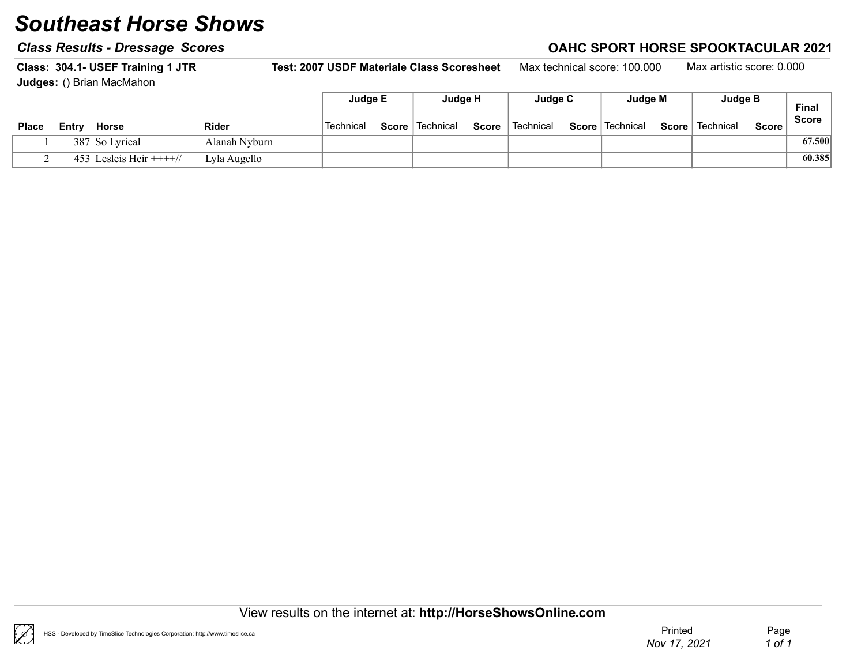#### Class Results - Dressage Scores Class According to the Class Results - Dressage Scores Class According to the C

Class: 304.1- USEF Training 1 JTR Test: 2007 USDF Materiale Class Scoresheet Max technical score: 100.000 Max artistic score: 0.000 Judges: () Brian MacMahon  $\blacksquare$ Judge E Judge H Judge C Judge M Judge B

|              |       |                         |               | Juage E   |       | Juaae H                |       | <b>Judde C</b> | Juage M           |       | <b>Judde</b> R |         | <b>Final</b> |
|--------------|-------|-------------------------|---------------|-----------|-------|------------------------|-------|----------------|-------------------|-------|----------------|---------|--------------|
| <b>Place</b> | Entry | <b>Horse</b>            | <b>Rider</b>  | Technical | Score | <sup>≀</sup> Technical | Score | Technical      | Score   Technical | Score | Technical      | Score i | <b>Score</b> |
|              |       | 387 So Lyrical          | Alanah Nvburn |           |       |                        |       |                |                   |       |                |         | 67.500       |
|              |       | 453 Lesleis Heir $+++/$ | Lyla Augello  |           |       |                        |       |                |                   |       |                |         | 60.385       |

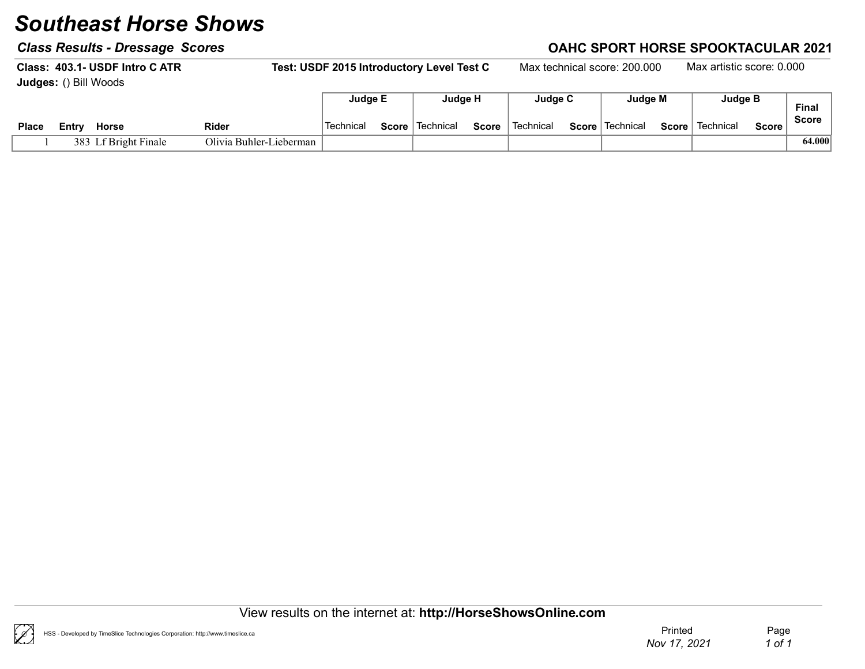#### Class Results - Dressage Scores Class According to the Class Results - Dressage Scores Class According to the C

Class: 403.1- USDF Intro CATR Test: USDF 2015 Introductory Level Test C Max technical score: 200.000 Max artistic score: 0.000 Judges: () Bill Woods Final Score Judge E Judge H Judge C Judge M Judge B Place Entry Horse  $\blacksquare$  Rider  $\blacksquare$  Technical Score Technical Score Technical Score Technical Score Technical Score Score

1 383 Lf Bright Finale Olivia Buhler-Lieberman | 64.000

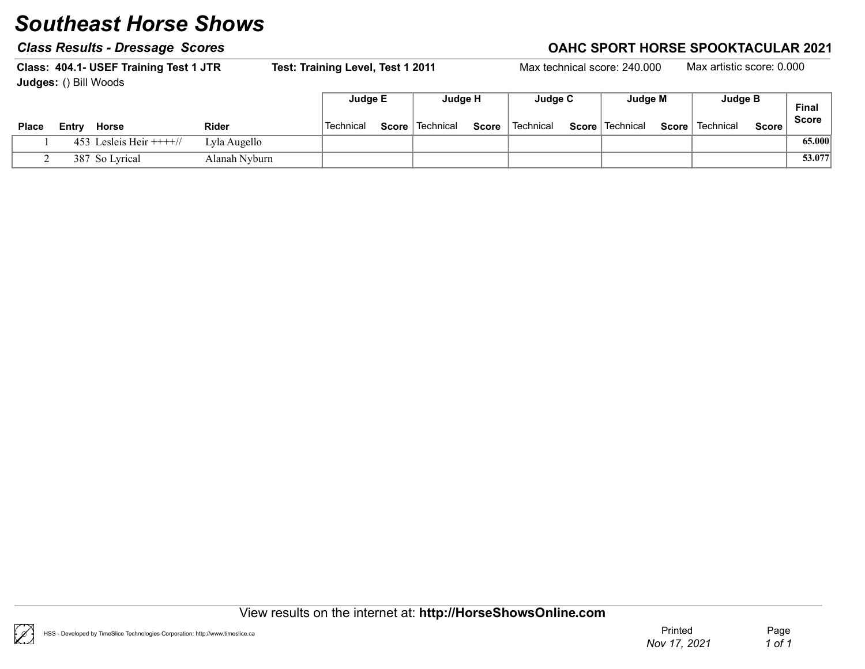### Class Results - Dressage Scores Class Results - Dressage Scores Class Results - Dressage Scores Class Results -

|                              |                                | Class: 404.1- USEF Training Test 1 JTR |               | Test: Training Level, Test 1 2011 |       |             |       |             | Max technical score: 240.000 |              | Max artistic score: 0.000 |              |              |
|------------------------------|--------------------------------|----------------------------------------|---------------|-----------------------------------|-------|-------------|-------|-------------|------------------------------|--------------|---------------------------|--------------|--------------|
| <b>Judges: () Bill Woods</b> |                                |                                        |               |                                   |       |             |       |             |                              |              |                           |              |              |
|                              |                                |                                        |               | Judge E                           |       | Judge H     |       | Judge C     | Judge M                      |              | Judge B                   |              | Final        |
| <b>Place</b>                 | <b>Rider</b><br>Horse<br>Entrv |                                        |               | Technical                         | Score | l Technical | Score | ∣ Technical | Score   Technical            | <b>Score</b> | Technical                 | <b>Score</b> | <b>Score</b> |
|                              |                                | 453 Lesleis Heir $+++/$                | Lyla Augello  |                                   |       |             |       |             |                              |              |                           |              | 65.000       |
|                              |                                | 387 So Lyrical                         | Alanah Nyburn |                                   |       |             |       |             |                              |              |                           |              | 53.077       |

View results on the internet at: http://HorseShowsOnline.com

 $(\mathscr{C})$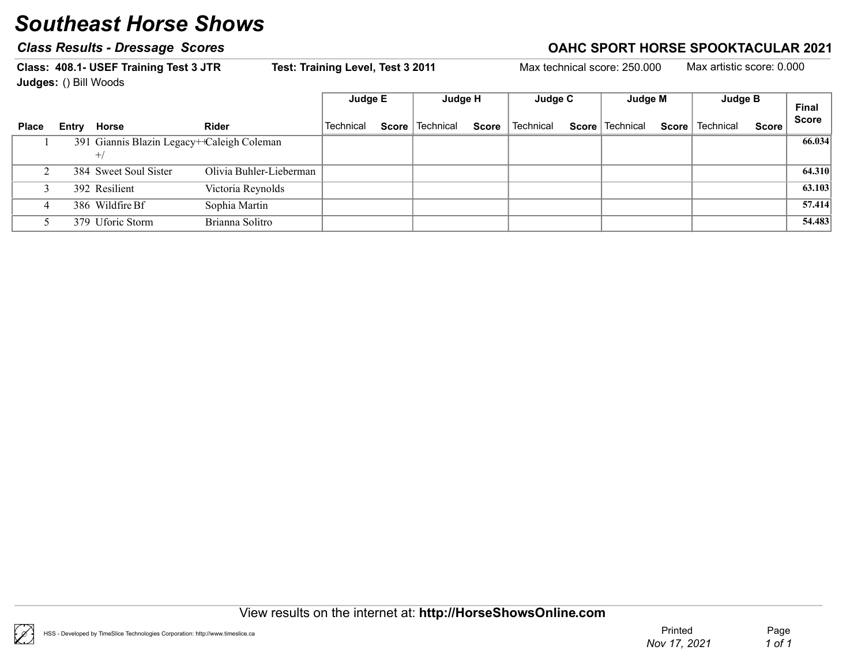### Class Results - Dressage Scores Correction Class According to the Case of Class Results - Dressage Scores Controller

Class: 408.1- USEF Training Test 3 JTR Test: Training Level, Test 3 2011 Max technical score: 250.000 Max artistic score: 0.000 Judges: () Bill Woods Final Score Judge E Judge H Judge C Judge M Judge B Place Entry Horse  $\blacksquare$  Rider  $\blacksquare$  Technical Score Technical Score Technical Score Technical Score Technical Score Score 1 391 Giannis Blazin Legacy++Caleigh Coleman 66.034  $+ /$ 2 384 Sweet Soul Sister Olivia Buhler-Lieberman (34.310) 3 392 Resilient Victoria Reynolds (63.103 4 386 Wildfire Bf Sophia Martin Sophia Martin 1 57.414 5 379 Uforic Storm Brianna Solitro **1986** Storm 54.483



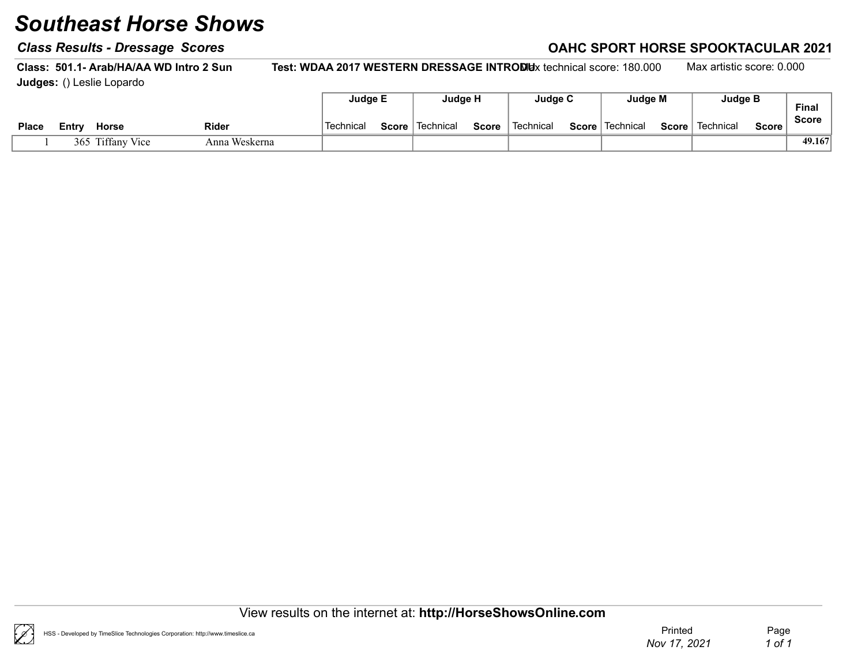#### Class Results - Dressage Scores Class According to the Class Results - Dressage Scores Class According to the C

Class: 501.1- Arab/HA/AA WD Intro 2 Sun Test: WDAA 2017 WESTERN DRESSAGE INTRODUx technical score: 180.000 Max artistic score: 0.000 Judges: () Leslie Lopardo

|              |                       |       |               | Judge E   | Judge H                  |       | Judge C   | Judge M           |              | <b>Judge B</b> |              | <b>Final</b> |
|--------------|-----------------------|-------|---------------|-----------|--------------------------|-------|-----------|-------------------|--------------|----------------|--------------|--------------|
| <b>Place</b> | <b>Horse</b><br>Entry | Rider |               | Technical | <b>Score</b>   Technical | Score | Technical | Score   Technical | $Score \mid$ | Technical      | <b>Score</b> | <b>Score</b> |
|              | 365 Tiffany Vice      |       | Anna Weskerna |           |                          |       |           |                   |              |                |              | 49.167       |

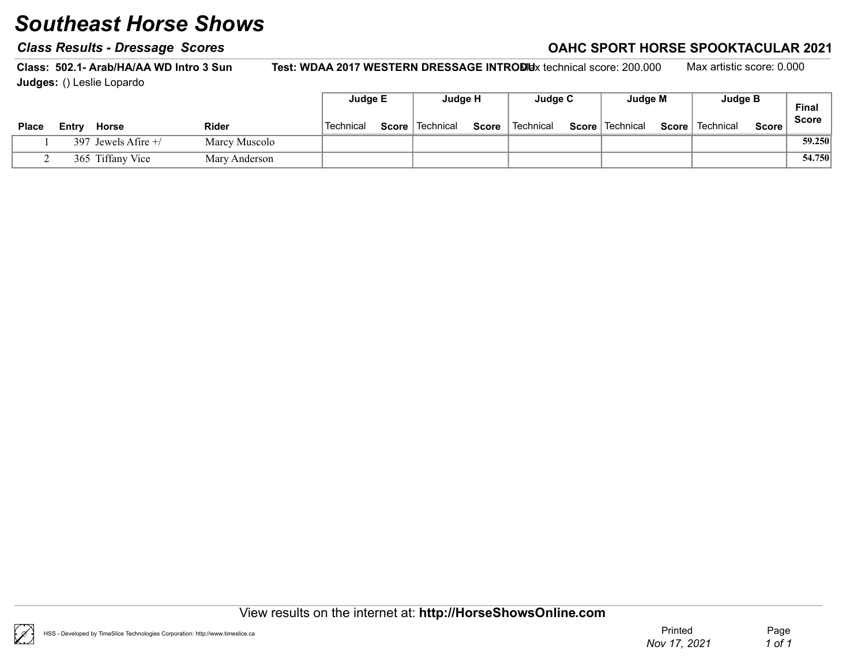#### Class Results - Dressage Scores Class According to the Class Results - Dressage Scores Class According to the C

Class: 502.1- Arab/HA/AA WD Intro 3 Sun Test: WDAA 2017 WESTERN DRESSAGE INTRODUx technical score: 200.000 Max artistic score: 0.000 Judges: () Leslie Lopardo

|              |       |                       |               | Judge E   | Judge H           |              | Judge C   | Judge M           |       | <b>Judge B</b> |              | Final        |
|--------------|-------|-----------------------|---------------|-----------|-------------------|--------------|-----------|-------------------|-------|----------------|--------------|--------------|
| <b>Place</b> | Entry | <b>Horse</b>          | Rider         | Technical | Score   Technical | <b>Score</b> | Technical | Score   Technical | Score | Technical      | <b>Score</b> | <b>Score</b> |
|              |       | 397 Jewels Afire $+/$ | Marcy Muscolo |           |                   |              |           |                   |       |                |              | 59.250       |
|              |       | 365 Tiffany Vice      | Mary Anderson |           |                   |              |           |                   |       |                |              | 54.750       |

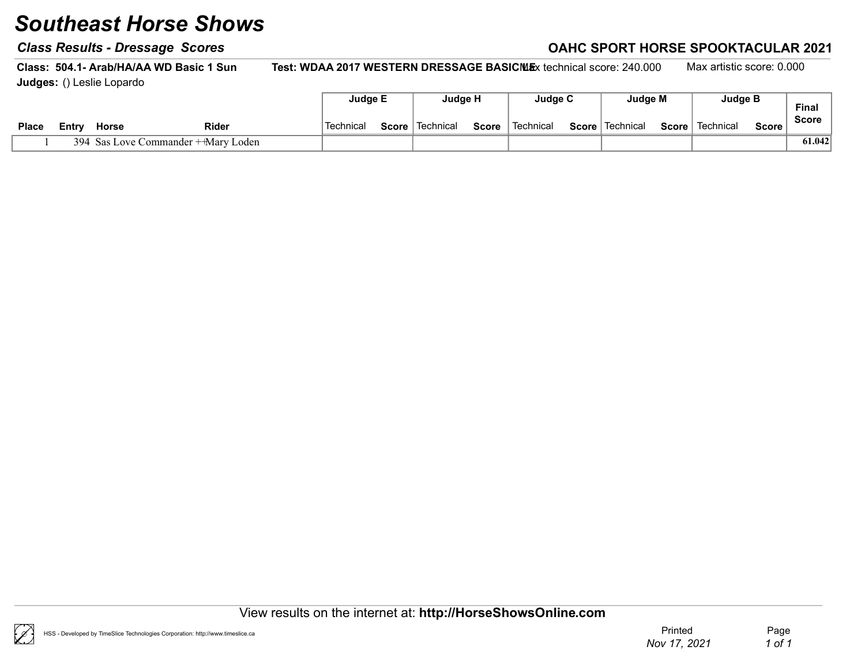#### Class Results - Dressage Scores Class According to the Class Results - Dressage Scores Class According to the C

Class: 504.1- Arab/HA/AA WD Basic 1 Sun Test: WDAA 2017 WESTERN DRESSAGE BASICMEx technical score: 240.000 Max artistic score: 0.000 Judges: () Leslie Lopardo

|              |       |       |                                     | Judge E   | Judge H                  |              | Judge C   | Judge M                  |       | <b>Judge B</b> |        | <b>Final</b> |
|--------------|-------|-------|-------------------------------------|-----------|--------------------------|--------------|-----------|--------------------------|-------|----------------|--------|--------------|
| <b>Place</b> | Entrv | Horse | Rider                               | Technical | <b>Score</b>   Technical | <b>Score</b> | Technical | <b>Score</b>   Technical | Score | Technical      | Score, | <b>Score</b> |
|              |       |       | 394 Sas Love Commander + Mary Loden |           |                          |              |           |                          |       |                |        | 61.042       |

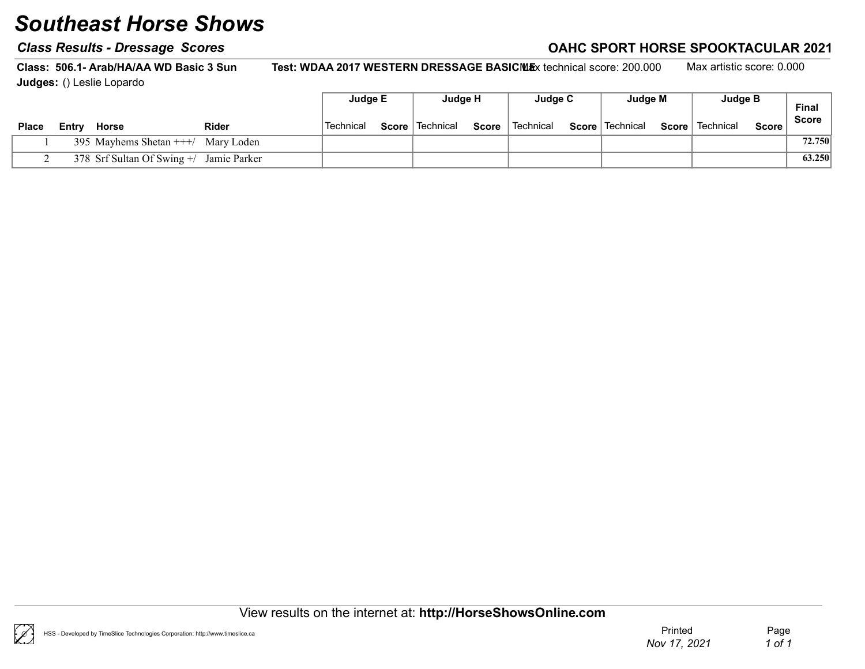#### Class Results - Dressage Scores Class According to the Class Results - Dressage Scores Class According to the C

Class: 506.1- Arab/HA/AA WD Basic 3 Sun Test: WDAA 2017 WESTERN DRESSAGE BASICMEx technical score: 200.000 Max artistic score: 0.000 Judges: () Leslie Lopardo

|              |       |                                            |              | Judge E          | Judge H           |       | Judge C                | Judge M           |              | Judge B   |              | <b>Final</b> |
|--------------|-------|--------------------------------------------|--------------|------------------|-------------------|-------|------------------------|-------------------|--------------|-----------|--------------|--------------|
| <b>Place</b> | Entry | Horse                                      | <b>Rider</b> | <b>Technical</b> | Score   Technical | Score | <sup>'</sup> Technical | Score   Technical | $Score \mid$ | Technical | <b>Score</b> | <b>Score</b> |
|              |       | 395 Mayhems Shetan $++/$ Mary Loden        |              |                  |                   |       |                        |                   |              |           |              | 72.750       |
|              |       | 378 Srf Sultan Of Swing $+/-$ Jamie Parker |              |                  |                   |       |                        |                   |              |           |              | 63.250       |

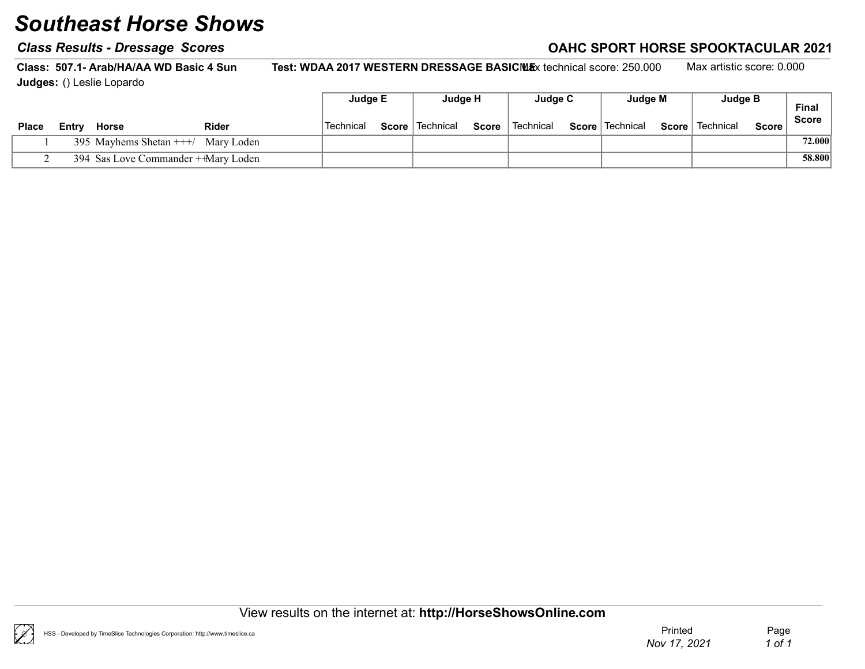#### Class Results - Dressage Scores Class According to the Class Results - Dressage Scores Class According to the C

Class: 507.1- Arab/HA/AA WD Basic 4 Sun Test: WDAA 2017 WESTERN DRESSAGE BASICMEx technical score: 250.000 Max artistic score: 0.000 Judges: () Leslie Lopardo

|              |       |                                     |       | Judge E   | Judge H           |              | Judge C   | Judge M           |              | Judge B   |       | Final        |
|--------------|-------|-------------------------------------|-------|-----------|-------------------|--------------|-----------|-------------------|--------------|-----------|-------|--------------|
| <b>Place</b> | Entry | <b>Horse</b>                        | Rider | Technical | Score   Technical | <b>Score</b> | Technical | Score   Technical | $Score \mid$ | Technical | Score | <b>Score</b> |
|              |       | 395 Mayhems Shetan $++/$ Mary Loden |       |           |                   |              |           |                   |              |           |       | 72.000       |
|              |       | 394 Sas Love Commander + Mary Loden |       |           |                   |              |           |                   |              |           |       | 58.800       |

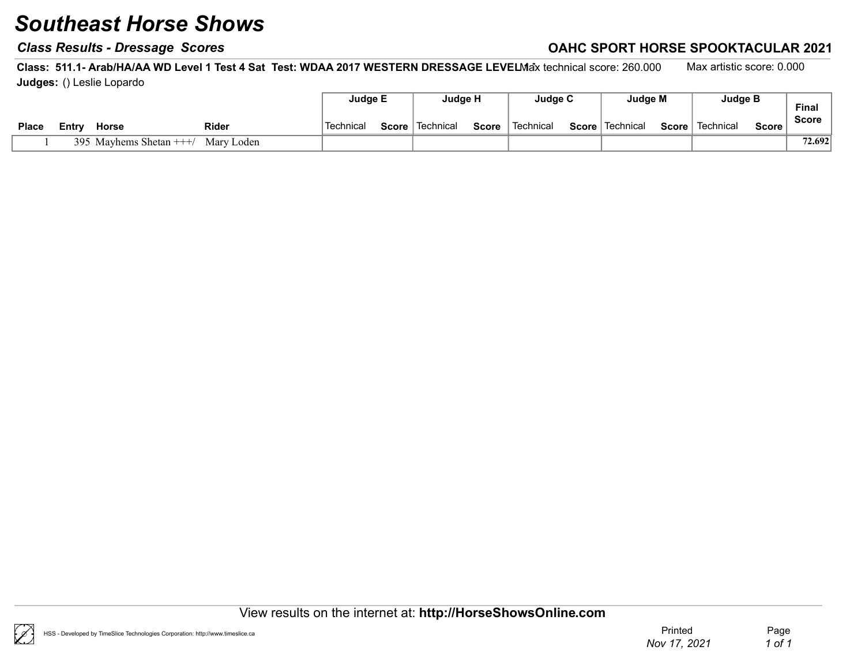#### Class Results - Dressage Scores Class According to the Class Results - Dressage Scores Class According to the C

Class: 511.1- Arab/HA/AA WD Level 1 Test 4 Sat Test: WDAA 2017 WESTERN DRESSAGE LEVELMax technical score: 260.000 Max artistic score: 0.000 Judges: () Leslie Lopardo

|              |       |                         |              | Judge E          | Judge H           |       | Judae C   | Judge M           | <b>Judge B</b>    |         | <b>Final</b> |
|--------------|-------|-------------------------|--------------|------------------|-------------------|-------|-----------|-------------------|-------------------|---------|--------------|
| <b>Place</b> | Entrv | <b>Horse</b>            | <b>Rider</b> | <b>Technical</b> | Score   Technical | Score | Technical | Score   Technical | Score   Technical | Score i | Score        |
|              |       | 395 Mayhems Shetan $++$ | Mary Loden   |                  |                   |       |           |                   |                   |         | 72.692       |

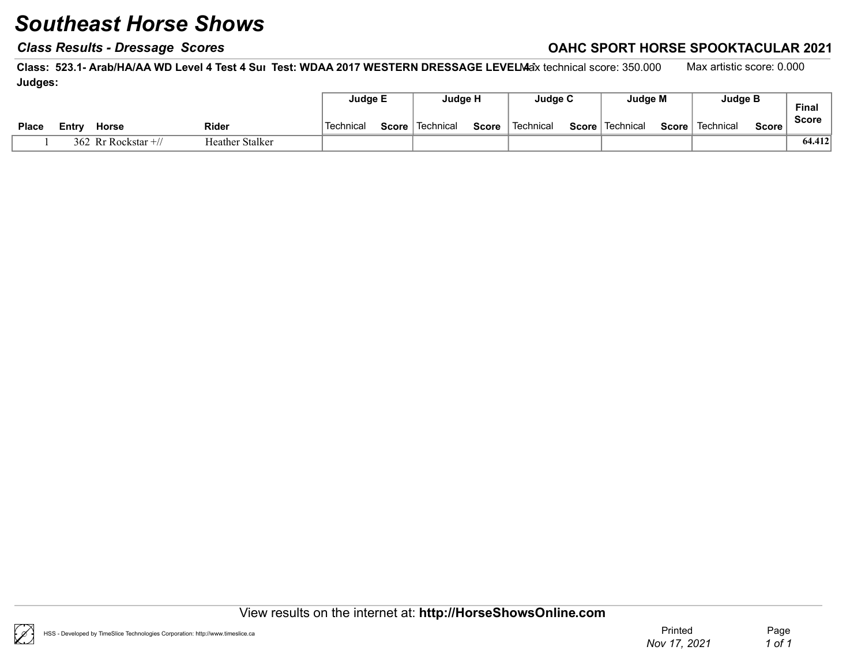### Class Results - Dressage Scores Class Results - Dressage Scores Class Results - Dressage Scores Class Results - D

Class: 523.1- Arab/HA/AA WD Level 4 Test 4 Sur Test: WDAA 2017 WESTERN DRESSAGE LEVELMax technical score: 350.000 Max artistic score: 0.000 Judges:

|              |                      |                 | Judge E   | Judge H           |              | Judge C   | Judge M           |       | Judge B   |       | <b>Final</b> |
|--------------|----------------------|-----------------|-----------|-------------------|--------------|-----------|-------------------|-------|-----------|-------|--------------|
| <b>Place</b> | Horse<br>∟∟ntrv      | Rider           | Technical | Score   Technical | <b>Score</b> | Technical | Score   Technical | Score | Technical | Score | Score        |
|              | 362 Rr Rockstar $+/$ | Heather Stalker |           |                   |              |           |                   |       |           |       | 64.412       |

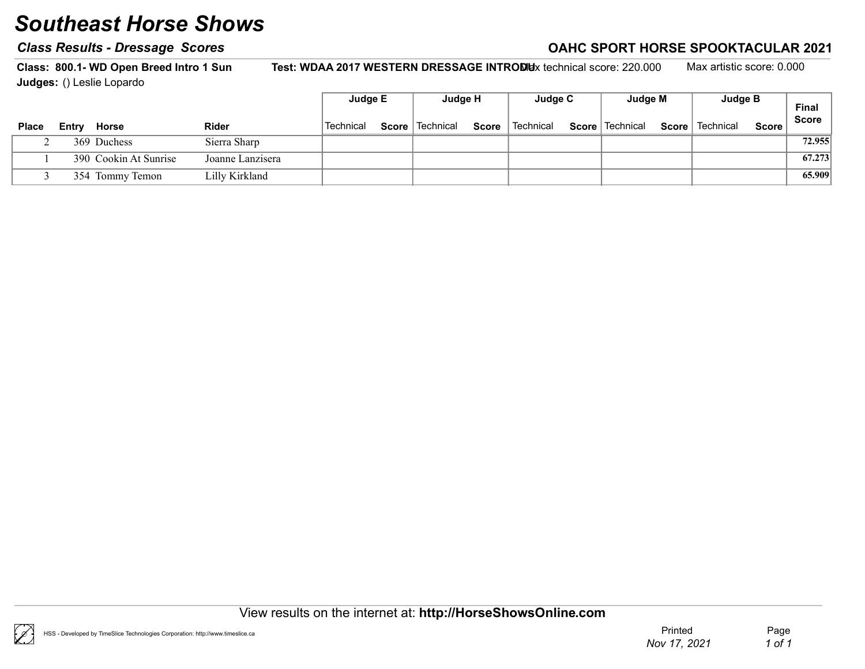#### Class Results - Dressage Scores Class According to the Class Results - Dressage Scores Class According to the C

Class: 800.1- WD Open Breed Intro 1 Sun Test: WDAA 2017 WESTERN DRESSAGE INTRODUx technical score: 220.000 Max artistic score: 0.000 Judges: () Leslie Lopardo

|              |       |                       |                  | Judge E   | Judge H           |       | Judge C   | Judge M           | Judge B           |        | Final        |
|--------------|-------|-----------------------|------------------|-----------|-------------------|-------|-----------|-------------------|-------------------|--------|--------------|
| <b>Place</b> | Entry | Horse                 | <b>Rider</b>     | Technical | Score   Technical | Score | Technical | Score   Technical | Score   Technical | Score, | <b>Score</b> |
|              |       | 369 Duchess           | Sierra Sharp     |           |                   |       |           |                   |                   |        | 72.955       |
|              |       | 390 Cookin At Sunrise | Joanne Lanzisera |           |                   |       |           |                   |                   |        | 67.273       |
|              |       | 354 Tommy Temon       | Lilly Kirkland   |           |                   |       |           |                   |                   |        | 65.909       |

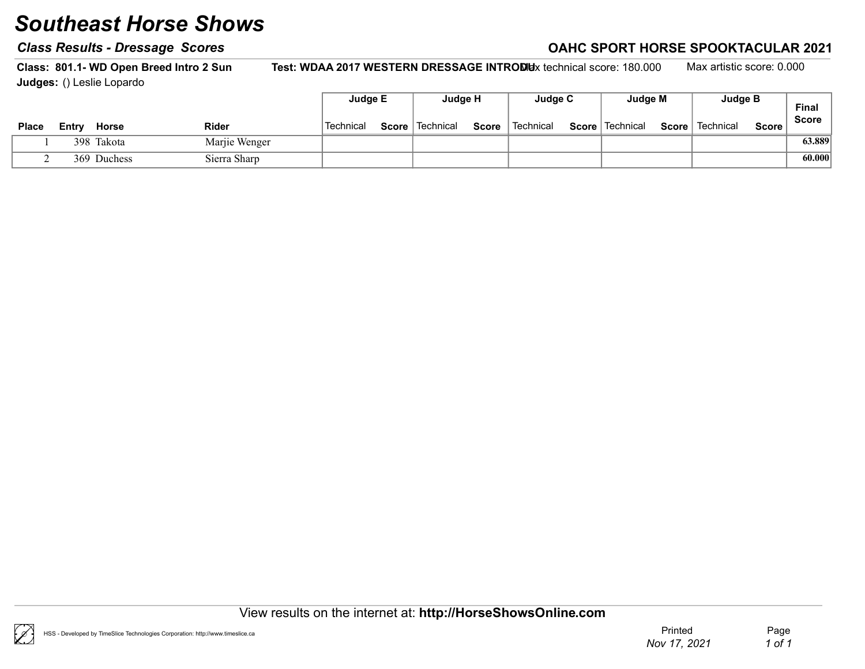#### Class Results - Dressage Scores Class According to the Class Results - Dressage Scores Class According to the C

Class: 801.1- WD Open Breed Intro 2 Sun Test: WDAA 2017 WESTERN DRESSAGE INTRODUx technical score: 180.000 Max artistic score: 0.000 Judges: () Leslie Lopardo

|       |       |              |               | Judge E                | Judge H           |              | Judge C   | Judge M           |       | Judge B   |       | <b>Final</b> |
|-------|-------|--------------|---------------|------------------------|-------------------|--------------|-----------|-------------------|-------|-----------|-------|--------------|
| Place | Entrv | <b>Horse</b> | <b>Rider</b>  | <sup>'</sup> Technical | Score   Technical | <b>Score</b> | Technical | Score   Technical | Score | Technical | Score | <b>Score</b> |
|       |       | 398 Takota   | Marjie Wenger |                        |                   |              |           |                   |       |           |       | 63.889       |
|       |       | 369 Duchess  | Sierra Sharp  |                        |                   |              |           |                   |       |           |       | 60.000       |



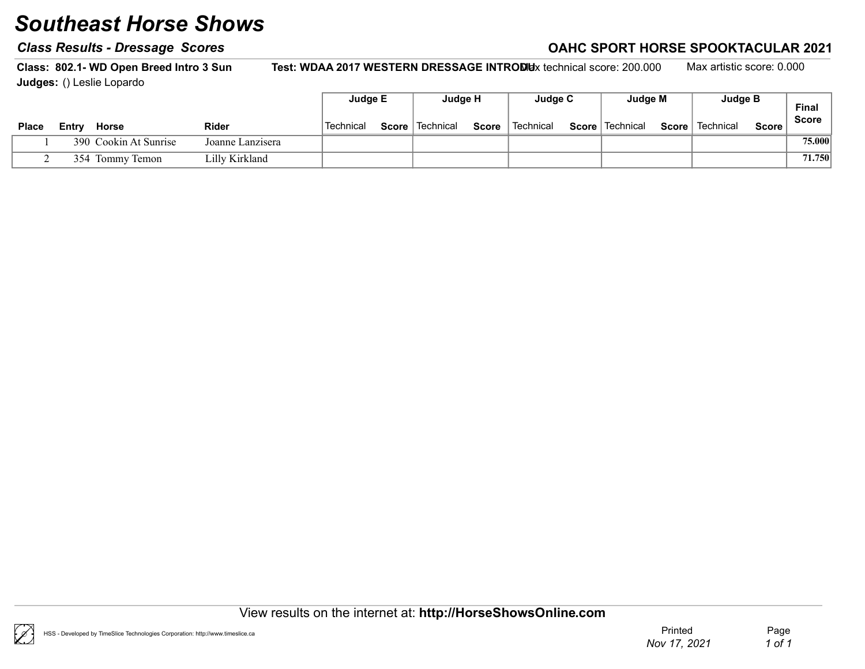#### Class Results - Dressage Scores Class According to the Class Results - Dressage Scores Class According to the C

Class: 802.1- WD Open Breed Intro 3 Sun Test: WDAA 2017 WESTERN DRESSAGE INTRODUx technical score: 200.000 Max artistic score: 0.000 Judges: () Leslie Lopardo

|              |       |                       |                  | Judge E   | Judge H           |              | Judge C   | Judge M           |       | <b>Judge B</b> |              | <b>Final</b> |
|--------------|-------|-----------------------|------------------|-----------|-------------------|--------------|-----------|-------------------|-------|----------------|--------------|--------------|
| <b>Place</b> | Entrv | Horse                 | <b>Rider</b>     | Technical | Score   Technical | <b>Score</b> | Technical | Score   Technical | Score | Technical      | <b>Score</b> | <b>Score</b> |
|              |       | 390 Cookin At Sunrise | Joanne Lanzisera |           |                   |              |           |                   |       |                |              | 75.000       |
|              |       | 354 Tommy Temon       | Lilly Kirkland   |           |                   |              |           |                   |       |                |              | 71.750       |

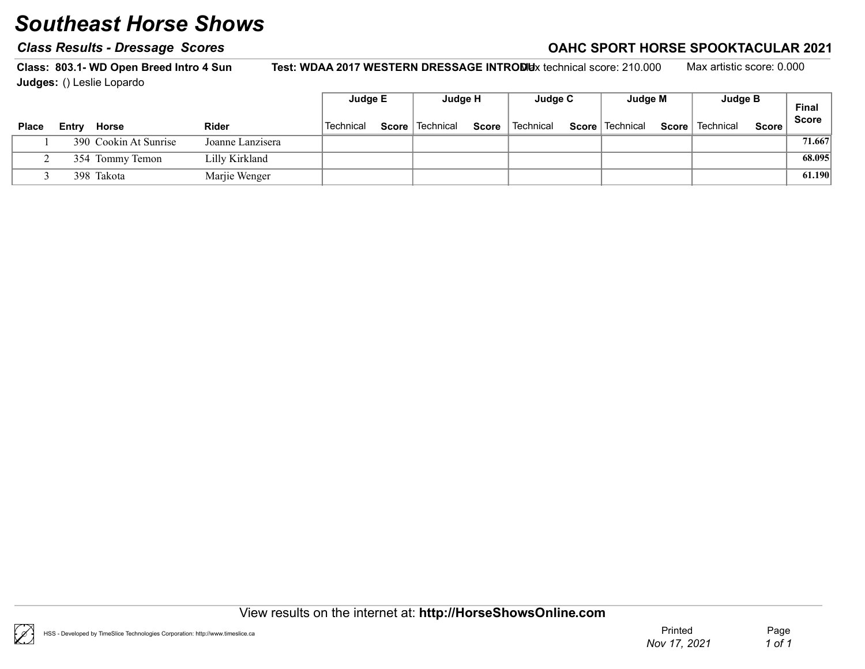#### Class Results - Dressage Scores Class According to the Class Results - Dressage Scores Class According to the C

Class: 803.1- WD Open Breed Intro 4 Sun Test: WDAA 2017 WESTERN DRESSAGE INTRODUx technical score: 210.000 Max artistic score: 0.000 Judges: () Leslie Lopardo

|              |       |                       |                  | Judge E   | Judge H           |       | Judge C                | Judge M           | Judge B           |         | Final        |
|--------------|-------|-----------------------|------------------|-----------|-------------------|-------|------------------------|-------------------|-------------------|---------|--------------|
| <b>Place</b> | Entry | Horse                 | <b>Rider</b>     | Technical | Score   Technical | Score | <sup>'</sup> Technical | Score   Technical | Score   Technical | Score i | <b>Score</b> |
|              |       | 390 Cookin At Sunrise | Joanne Lanzisera |           |                   |       |                        |                   |                   |         | 71.667       |
|              |       | 354 Tommy Temon       | Lilly Kirkland   |           |                   |       |                        |                   |                   |         | 68.095       |
|              |       | 398 Takota            | Marjie Wenger    |           |                   |       |                        |                   |                   |         | 61.190       |

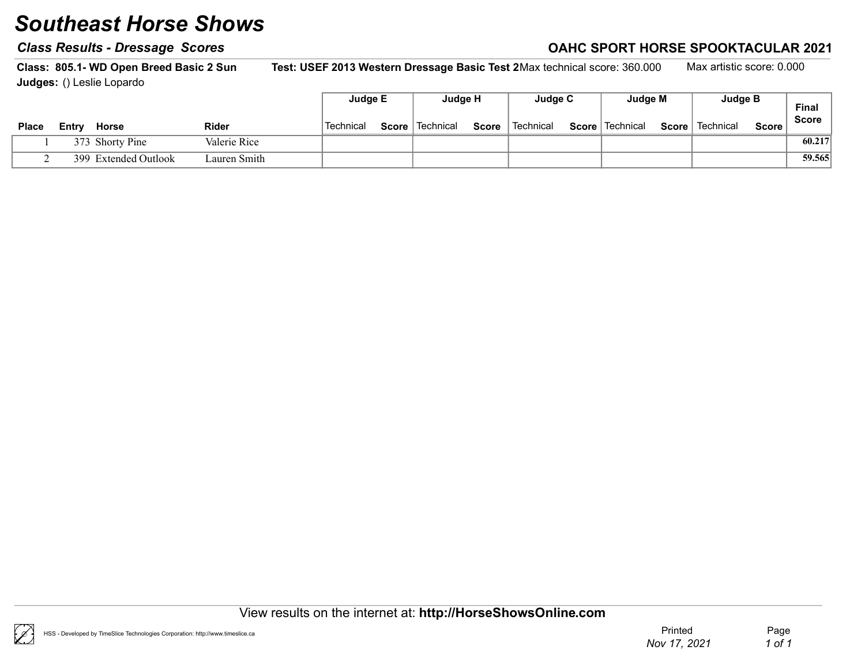#### Class Results - Dressage Scores Class According to the Class Results - Dressage Scores Class According to the C

Class: 805.1- WD Open Breed Basic 2 Sun Test: USEF 2013 Western Dressage Basic Test 2Max technical score: 360.000 Max artistic score: 0.000 Judges: () Leslie Lopardo

|              |                      |              | Judge E   |       | Judge H   |              | Judge C   | Judge M           |       | Judge B   |         | <b>Final</b> |
|--------------|----------------------|--------------|-----------|-------|-----------|--------------|-----------|-------------------|-------|-----------|---------|--------------|
| <b>Place</b> | Entry Horse          | <b>Rider</b> | Technical | Score | Technical | <b>Score</b> | Technical | Score   Technical | Score | Technical | Score i | <b>Score</b> |
|              | 373 Shorty Pine      | Valerie Rice |           |       |           |              |           |                   |       |           |         | 60.217       |
|              | 399 Extended Outlook | Lauren Smith |           |       |           |              |           |                   |       |           |         | 59.565       |

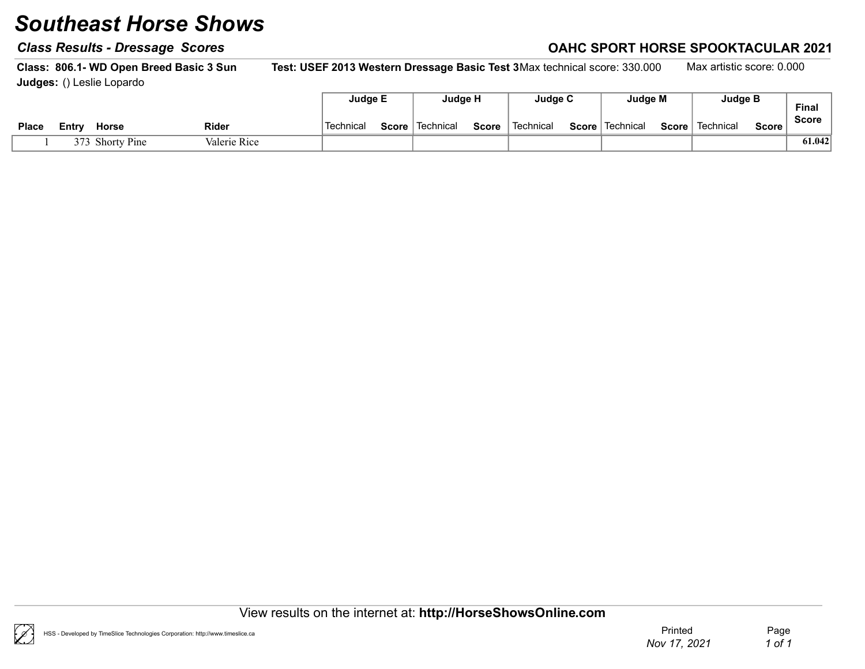#### Class Results - Dressage Scores Class According to the Class Results - Dressage Scores Class According to the C

Class: 806.1- WD Open Breed Basic 3 Sun Test: USEF 2013 Western Dressage Basic Test 3Max technical score: 330.000 Max artistic score: 0.000 Judges: () Leslie Lopardo

|              |                 |              |           | Judge E | Judge H                  |              | Judge C     | Judge M           |       | <b>Judge B</b> |         | <b>Final</b> |
|--------------|-----------------|--------------|-----------|---------|--------------------------|--------------|-------------|-------------------|-------|----------------|---------|--------------|
| <b>Place</b> | Horse<br>Entr∨  | <b>Rider</b> | Technical |         | <b>Score</b>   Technical | <b>Score</b> | ็ Technical | Score   Technical | Score | Technical      | Score . | <b>Score</b> |
|              | 373 Shorty Pine | Valerie Rice |           |         |                          |              |             |                   |       |                |         | 61.042       |